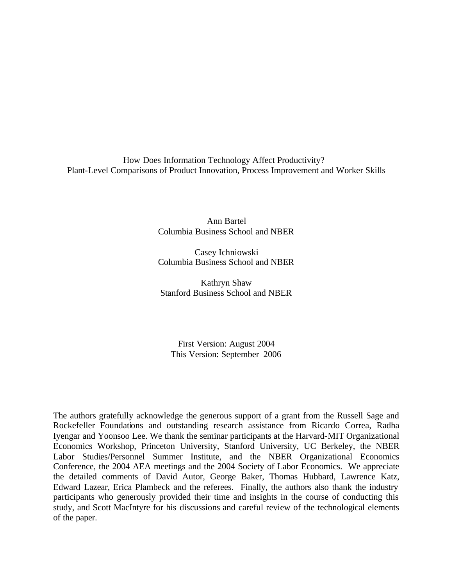How Does Information Technology Affect Productivity? Plant-Level Comparisons of Product Innovation, Process Improvement and Worker Skills

> Ann Bartel Columbia Business School and NBER

> Casey Ichniowski Columbia Business School and NBER

Kathryn Shaw Stanford Business School and NBER

First Version: August 2004 This Version: September 2006

The authors gratefully acknowledge the generous support of a grant from the Russell Sage and Rockefeller Foundations and outstanding research assistance from Ricardo Correa, Radha Iyengar and Yoonsoo Lee. We thank the seminar participants at the Harvard-MIT Organizational Economics Workshop, Princeton University, Stanford University, UC Berkeley, the NBER Labor Studies/Personnel Summer Institute, and the NBER Organizational Economics Conference, the 2004 AEA meetings and the 2004 Society of Labor Economics. We appreciate the detailed comments of David Autor, George Baker, Thomas Hubbard, Lawrence Katz, Edward Lazear, Erica Plambeck and the referees. Finally, the authors also thank the industry participants who generously provided their time and insights in the course of conducting this study, and Scott MacIntyre for his discussions and careful review of the technological elements of the paper.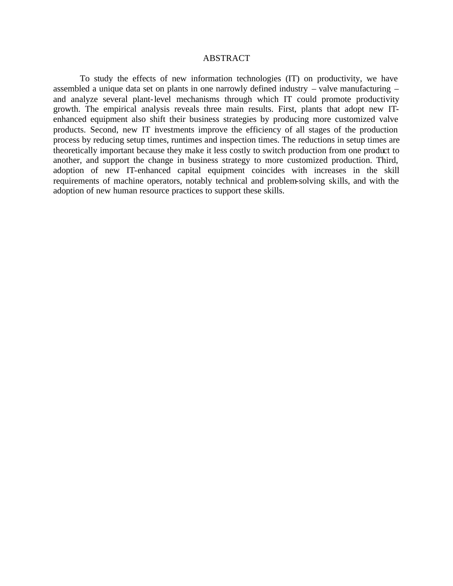#### ABSTRACT

To study the effects of new information technologies (IT) on productivity, we have assembled a unique data set on plants in one narrowly defined industry – valve manufacturing – and analyze several plant-level mechanisms through which IT could promote productivity growth. The empirical analysis reveals three main results. First, plants that adopt new ITenhanced equipment also shift their business strategies by producing more customized valve products. Second, new IT investments improve the efficiency of all stages of the production process by reducing setup times, runtimes and inspection times. The reductions in setup times are theoretically important because they make it less costly to switch production from one product to another, and support the change in business strategy to more customized production. Third, adoption of new IT-enhanced capital equipment coincides with increases in the skill requirements of machine operators, notably technical and problem-solving skills, and with the adoption of new human resource practices to support these skills.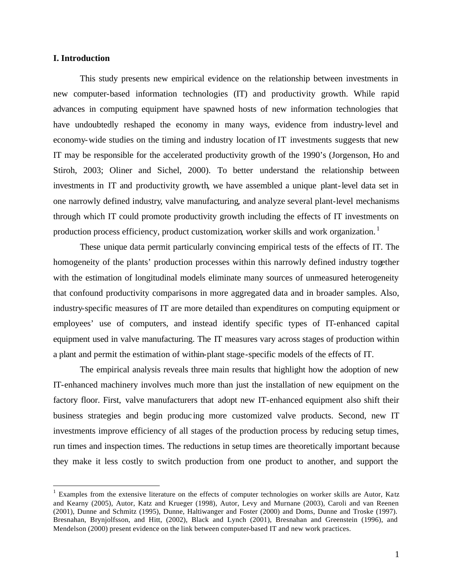### **I. Introduction**

 $\overline{a}$ 

This study presents new empirical evidence on the relationship between investments in new computer-based information technologies (IT) and productivity growth. While rapid advances in computing equipment have spawned hosts of new information technologies that have undoubtedly reshaped the economy in many ways, evidence from industry-level and economy-wide studies on the timing and industry location of IT investments suggests that new IT may be responsible for the accelerated productivity growth of the 1990's (Jorgenson, Ho and Stiroh, 2003; Oliner and Sichel, 2000). To better understand the relationship between investments in IT and productivity growth, we have assembled a unique plant-level data set in one narrowly defined industry, valve manufacturing, and analyze several plant-level mechanisms through which IT could promote productivity growth including the effects of IT investments on production process efficiency, product customization, worker skills and work organization.<sup>1</sup>

These unique data permit particularly convincing empirical tests of the effects of IT. The homogeneity of the plants' production processes within this narrowly defined industry together with the estimation of longitudinal models eliminate many sources of unmeasured heterogeneity that confound productivity comparisons in more aggregated data and in broader samples. Also, industry-specific measures of IT are more detailed than expenditures on computing equipment or employees' use of computers, and instead identify specific types of IT-enhanced capital equipment used in valve manufacturing. The IT measures vary across stages of production within a plant and permit the estimation of within-plant stage-specific models of the effects of IT.

The empirical analysis reveals three main results that highlight how the adoption of new IT-enhanced machinery involves much more than just the installation of new equipment on the factory floor. First, valve manufacturers that adopt new IT-enhanced equipment also shift their business strategies and begin produc ing more customized valve products. Second, new IT investments improve efficiency of all stages of the production process by reducing setup times, run times and inspection times. The reductions in setup times are theoretically important because they make it less costly to switch production from one product to another, and support the

<sup>&</sup>lt;sup>1</sup> Examples from the extensive literature on the effects of computer technologies on worker skills are Autor, Katz and Kearny (2005), Autor, Katz and Krueger (1998), Autor, Levy and Murnane (2003), Caroli and van Reenen (2001), Dunne and Schmitz (1995), Dunne, Haltiwanger and Foster (2000) and Doms, Dunne and Troske (1997). Bresnahan, Brynjolfsson, and Hitt, (2002), Black and Lynch (2001), Bresnahan and Greenstein (1996), and Mendelson (2000) present evidence on the link between computer-based IT and new work practices.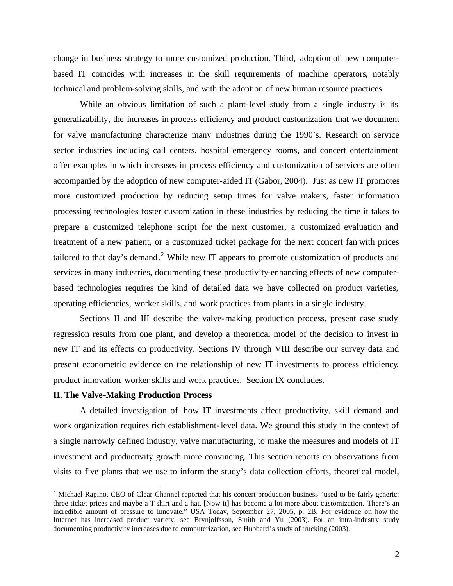change in business strategy to more customized production. Third, adoption of new computerbased IT coincides with increases in the skill requirements of machine operators, notably technical and problem-solving skills, and with the adoption of new human resource practices.

While an obvious limitation of such a plant-level study from a single industry is its generalizability, the increases in process efficiency and product customization that we document for valve manufacturing characterize many industries during the 1990's. Research on service sector industries including call centers, hospital emergency rooms, and concert entertainment offer examples in which increases in process efficiency and customization of services are often accompanied by the adoption of new computer-aided IT (Gabor, 2004). Just as new IT promotes more customized production by reducing setup times for valve makers, faster information processing technologies foster customization in these industries by reducing the time it takes to prepare a customized telephone script for the next customer, a customized evaluation and treatment of a new patient, or a customized ticket package for the next concert fan with prices tailored to that day's demand.<sup>2</sup> While new IT appears to promote customization of products and services in many industries, documenting these productivity-enhancing effects of new computerbased technologies requires the kind of detailed data we have collected on product varieties, operating efficiencies, worker skills, and work practices from plants in a single industry.

Sections II and III describe the valve-making production process, present case study regression results from one plant, and develop a theoretical model of the decision to invest in new IT and its effects on productivity. Sections IV through VIII describe our survey data and present econometric evidence on the relationship of new IT investments to process efficiency, product innovation, worker skills and work practices. Section IX concludes.

### **II. The Valve-Making Production Process**

 $\overline{a}$ 

A detailed investigation of how IT investments affect productivity, skill demand and work organization requires rich establishment-level data. We ground this study in the context of a single narrowly defined industry, valve manufacturing, to make the measures and models of IT investment and productivity growth more convincing. This section reports on observations from visits to five plants that we use to inform the study's data collection efforts, theoretical model,

 $2$  Michael Rapino, CEO of Clear Channel reported that his concert production business "used to be fairly generic: three ticket prices and maybe a T-shirt and a hat. [Now it] has become a lot more about customization. There's an incredible amount of pressure to innovate." USA Today, September 27, 2005, p. 2B. For evidence on how the Internet has increased product variety, see Brynjolfsson, Smith and Yu (2003). For an intra-industry study documenting productivity increases due to computerization, see Hubbard's study of trucking (2003).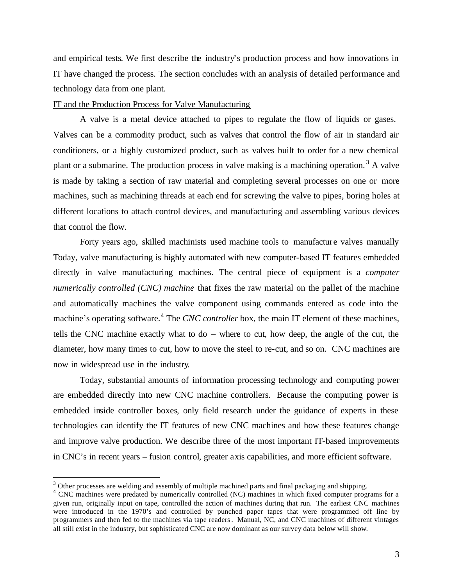and empirical tests. We first describe the industry's production process and how innovations in IT have changed the process. The section concludes with an analysis of detailed performance and technology data from one plant.

### IT and the Production Process for Valve Manufacturing

A valve is a metal device attached to pipes to regulate the flow of liquids or gases. Valves can be a commodity product, such as valves that control the flow of air in standard air conditioners, or a highly customized product, such as valves built to order for a new chemical plant or a submarine. The production process in valve making is a machining operation.<sup>3</sup> A valve is made by taking a section of raw material and completing several processes on one or more machines, such as machining threads at each end for screwing the valve to pipes, boring holes at different locations to attach control devices, and manufacturing and assembling various devices that control the flow.

Forty years ago, skilled machinists used machine tools to manufacture valves manually Today, valve manufacturing is highly automated with new computer-based IT features embedded directly in valve manufacturing machines. The central piece of equipment is a *computer numerically controlled (CNC) machine* that fixes the raw material on the pallet of the machine and automatically machines the valve component using commands entered as code into the machine's operating software. <sup>4</sup> The *CNC controller* box, the main IT element of these machines, tells the CNC machine exactly what to do – where to cut, how deep, the angle of the cut, the diameter, how many times to cut, how to move the steel to re-cut, and so on. CNC machines are now in widespread use in the industry.

Today, substantial amounts of information processing technology and computing power are embedded directly into new CNC machine controllers. Because the computing power is embedded inside controller boxes, only field research under the guidance of experts in these technologies can identify the IT features of new CNC machines and how these features change and improve valve production. We describe three of the most important IT-based improvements in CNC's in recent years – fusion control, greater axis capabilities, and more efficient software.

 $3$  Other processes are welding and assembly of multiple machined parts and final packaging and shipping.

<sup>&</sup>lt;sup>4</sup> CNC machines were predated by numerically controlled (NC) machines in which fixed computer programs for a given run, originally input on tape, controlled the action of machines during that run. The earliest CNC machines were introduced in the 1970's and controlled by punched paper tapes that were programmed off line by programmers and then fed to the machines via tape readers. Manual, NC, and CNC machines of different vintages all still exist in the industry, but sophisticated CNC are now dominant as our survey data below will show.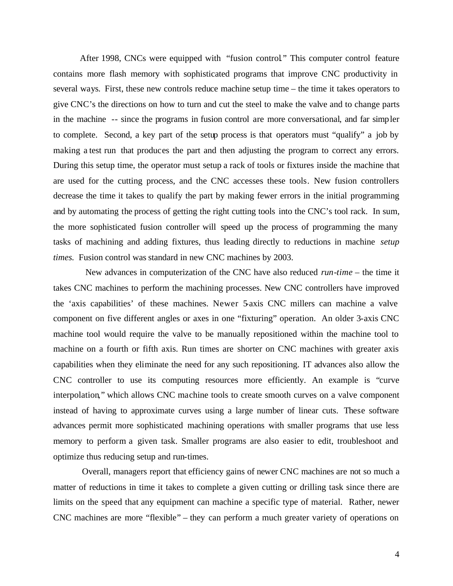After 1998, CNCs were equipped with "fusion control*.*" This computer control feature contains more flash memory with sophisticated programs that improve CNC productivity in several ways. First, these new controls reduce machine setup time – the time it takes operators to give CNC's the directions on how to turn and cut the steel to make the valve and to change parts in the machine -- since the programs in fusion control are more conversational, and far simpler to complete. Second, a key part of the setup process is that operators must "qualify" a job by making a test run that produces the part and then adjusting the program to correct any errors. During this setup time, the operator must setup a rack of tools or fixtures inside the machine that are used for the cutting process, and the CNC accesses these tools. New fusion controllers decrease the time it takes to qualify the part by making fewer errors in the initial programming and by automating the process of getting the right cutting tools into the CNC's tool rack. In sum, the more sophisticated fusion controller will speed up the process of programming the many tasks of machining and adding fixtures, thus leading directly to reductions in machine *setup times.* Fusion control was standard in new CNC machines by 2003.

 New advances in computerization of the CNC have also reduced *run-time* – the time it takes CNC machines to perform the machining processes. New CNC controllers have improved the 'axis capabilities' of these machines. Newer 5-axis CNC millers can machine a valve component on five different angles or axes in one "fixturing" operation. An older 3-axis CNC machine tool would require the valve to be manually repositioned within the machine tool to machine on a fourth or fifth axis. Run times are shorter on CNC machines with greater axis capabilities when they eliminate the need for any such repositioning. IT advances also allow the CNC controller to use its computing resources more efficiently. An example is "curve interpolation," which allows CNC machine tools to create smooth curves on a valve component instead of having to approximate curves using a large number of linear cuts. These software advances permit more sophisticated machining operations with smaller programs that use less memory to perform a given task. Smaller programs are also easier to edit, troubleshoot and optimize thus reducing setup and run-times.

Overall, managers report that efficiency gains of newer CNC machines are not so much a matter of reductions in time it takes to complete a given cutting or drilling task since there are limits on the speed that any equipment can machine a specific type of material. Rather, newer CNC machines are more "flexible" – they can perform a much greater variety of operations on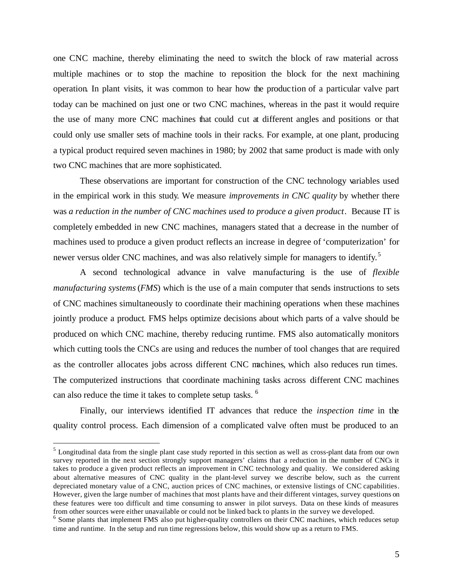one CNC machine, thereby eliminating the need to switch the block of raw material across multiple machines or to stop the machine to reposition the block for the next machining operation. In plant visits, it was common to hear how the production of a particular valve part today can be machined on just one or two CNC machines, whereas in the past it would require the use of many more CNC machines that could cut at different angles and positions or that could only use smaller sets of machine tools in their racks. For example, at one plant, producing a typical product required seven machines in 1980; by 2002 that same product is made with only two CNC machines that are more sophisticated.

These observations are important for construction of the CNC technology variables used in the empirical work in this study. We measure *improvements in CNC quality* by whether there was *a reduction in the number of CNC machines used to produce a given product*. Because IT is completely embedded in new CNC machines, managers stated that a decrease in the number of machines used to produce a given product reflects an increase in degree of 'computerization' for newer versus older CNC machines, and was also relatively simple for managers to identify.<sup>5</sup>

A second technological advance in valve manufacturing is the use of *flexible manufacturing systems* (*FMS*) which is the use of a main computer that sends instructions to sets of CNC machines simultaneously to coordinate their machining operations when these machines jointly produce a product. FMS helps optimize decisions about which parts of a valve should be produced on which CNC machine, thereby reducing runtime. FMS also automatically monitors which cutting tools the CNCs are using and reduces the number of tool changes that are required as the controller allocates jobs across different CNC machines, which also reduces run times. The computerized instructions that coordinate machining tasks across different CNC machines can also reduce the time it takes to complete setup tasks. 6

Finally, our interviews identified IT advances that reduce the *inspection time* in the quality control process. Each dimension of a complicated valve often must be produced to an

<sup>&</sup>lt;sup>5</sup> Longitudinal data from the single plant case study reported in this section as well as cross-plant data from our own survey reported in the next section strongly support managers' claims that a reduction in the number of CNCs it takes to produce a given product reflects an improvement in CNC technology and quality. We considered asking about alternative measures of CNC quality in the plant-level survey we describe below, such as the current depreciated monetary value of a CNC, auction prices of CNC machines, or extensive listings of CNC capabilities. However, given the large number of machines that most plants have and their different vintages, survey questions on these features were too difficult and time consuming to answer in pilot surveys. Data on these kinds of measures from other sources were either unavailable or could not be linked back to plants in the survey we developed.

<sup>&</sup>lt;sup>6</sup> Some plants that implement FMS also put higher-quality controllers on their CNC machines, which reduces setup time and runtime. In the setup and run time regressions below, this would show up as a return to FMS.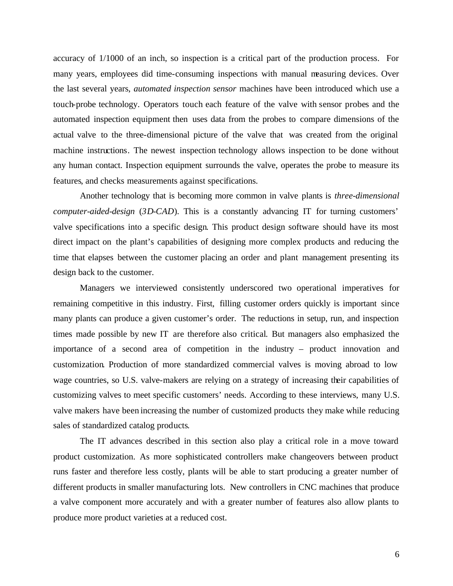accuracy of 1/1000 of an inch, so inspection is a critical part of the production process. For many years, employees did time-consuming inspections with manual measuring devices. Over the last several years, *automated inspection sensor* machines have been introduced which use a touch-probe technology. Operators touch each feature of the valve with sensor probes and the automated inspection equipment then uses data from the probes to compare dimensions of the actual valve to the three-dimensional picture of the valve that was created from the original machine instructions. The newest inspection technology allows inspection to be done without any human contact. Inspection equipment surrounds the valve, operates the probe to measure its features, and checks measurements against specifications.

Another technology that is becoming more common in valve plants is *three-dimensional computer-aided-design* (*3D-CAD*). This is a constantly advancing IT for turning customers' valve specifications into a specific design. This product design software should have its most direct impact on the plant's capabilities of designing more complex products and reducing the time that elapses between the customer placing an order and plant management presenting its design back to the customer.

Managers we interviewed consistently underscored two operational imperatives for remaining competitive in this industry. First, filling customer orders quickly is important since many plants can produce a given customer's order. The reductions in setup, run, and inspection times made possible by new IT are therefore also critical. But managers also emphasized the importance of a second area of competition in the industry – product innovation and customization. Production of more standardized commercial valves is moving abroad to low wage countries, so U.S. valve-makers are relying on a strategy of increasing their capabilities of customizing valves to meet specific customers' needs. According to these interviews, many U.S. valve makers have been increasing the number of customized products they make while reducing sales of standardized catalog products.

The IT advances described in this section also play a critical role in a move toward product customization. As more sophisticated controllers make changeovers between product runs faster and therefore less costly, plants will be able to start producing a greater number of different products in smaller manufacturing lots. New controllers in CNC machines that produce a valve component more accurately and with a greater number of features also allow plants to produce more product varieties at a reduced cost.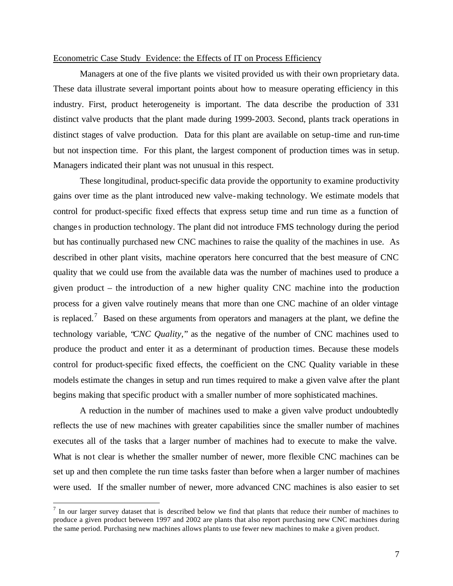#### Econometric Case Study Evidence: the Effects of IT on Process Efficiency

Managers at one of the five plants we visited provided us with their own proprietary data. These data illustrate several important points about how to measure operating efficiency in this industry. First, product heterogeneity is important. The data describe the production of 331 distinct valve products that the plant made during 1999-2003. Second, plants track operations in distinct stages of valve production. Data for this plant are available on setup-time and run-time but not inspection time. For this plant, the largest component of production times was in setup. Managers indicated their plant was not unusual in this respect.

These longitudinal, product-specific data provide the opportunity to examine productivity gains over time as the plant introduced new valve-making technology. We estimate models that control for product-specific fixed effects that express setup time and run time as a function of changes in production technology. The plant did not introduce FMS technology during the period but has continually purchased new CNC machines to raise the quality of the machines in use. As described in other plant visits, machine operators here concurred that the best measure of CNC quality that we could use from the available data was the number of machines used to produce a given product – the introduction of a new higher quality CNC machine into the production process for a given valve routinely means that more than one CNC machine of an older vintage is replaced.<sup>7</sup> Based on these arguments from operators and managers at the plant, we define the technology variable, "*CNC Quality,*" as the negative of the number of CNC machines used to produce the product and enter it as a determinant of production times. Because these models control for product-specific fixed effects, the coefficient on the CNC Quality variable in these models estimate the changes in setup and run times required to make a given valve after the plant begins making that specific product with a smaller number of more sophisticated machines.

A reduction in the number of machines used to make a given valve product undoubtedly reflects the use of new machines with greater capabilities since the smaller number of machines executes all of the tasks that a larger number of machines had to execute to make the valve. What is not clear is whether the smaller number of newer, more flexible CNC machines can be set up and then complete the run time tasks faster than before when a larger number of machines were used. If the smaller number of newer, more advanced CNC machines is also easier to set

 $<sup>7</sup>$  In our larger survey dataset that is described below we find that plants that reduce their number of machines to</sup> produce a given product between 1997 and 2002 are plants that also report purchasing new CNC machines during the same period. Purchasing new machines allows plants to use fewer new machines to make a given product.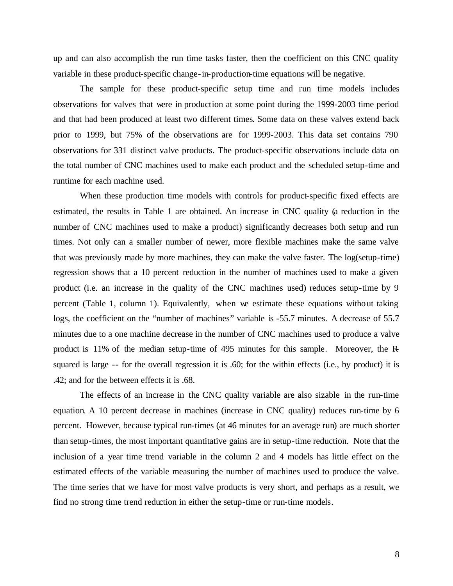up and can also accomplish the run time tasks faster, then the coefficient on this CNC quality variable in these product-specific change-in-production-time equations will be negative.

The sample for these product-specific setup time and run time models includes observations for valves that were in production at some point during the 1999-2003 time period and that had been produced at least two different times. Some data on these valves extend back prior to 1999, but 75% of the observations are for 1999-2003. This data set contains 790 observations for 331 distinct valve products. The product-specific observations include data on the total number of CNC machines used to make each product and the scheduled setup-time and runtime for each machine used.

When these production time models with controls for product-specific fixed effects are estimated, the results in Table 1 are obtained. An increase in CNC quality (a reduction in the number of CNC machines used to make a product) significantly decreases both setup and run times. Not only can a smaller number of newer, more flexible machines make the same valve that was previously made by more machines, they can make the valve faster. The log(setup-time) regression shows that a 10 percent reduction in the number of machines used to make a given product (i.e. an increase in the quality of the CNC machines used) reduces setup-time by 9 percent (Table 1, column 1). Equivalently, when we estimate these equations without taking logs, the coefficient on the "number of machines" variable is -55.7 minutes. A decrease of 55.7 minutes due to a one machine decrease in the number of CNC machines used to produce a valve product is 11% of the median setup-time of 495 minutes for this sample. Moreover, the Rsquared is large -- for the overall regression it is .60; for the within effects (i.e., by product) it is .42; and for the between effects it is .68.

The effects of an increase in the CNC quality variable are also sizable in the run-time equation. A 10 percent decrease in machines (increase in CNC quality) reduces run-time by 6 percent. However, because typical run-times (at 46 minutes for an average run) are much shorter than setup-times, the most important quantitative gains are in setup-time reduction. Note that the inclusion of a year time trend variable in the column 2 and 4 models has little effect on the estimated effects of the variable measuring the number of machines used to produce the valve. The time series that we have for most valve products is very short, and perhaps as a result, we find no strong time trend reduction in either the setup-time or run-time models.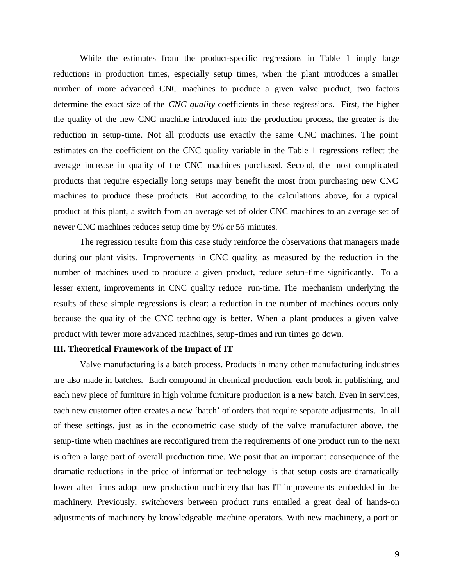While the estimates from the product-specific regressions in Table 1 imply large reductions in production times, especially setup times, when the plant introduces a smaller number of more advanced CNC machines to produce a given valve product, two factors determine the exact size of the *CNC quality* coefficients in these regressions. First, the higher the quality of the new CNC machine introduced into the production process, the greater is the reduction in setup-time. Not all products use exactly the same CNC machines. The point estimates on the coefficient on the CNC quality variable in the Table 1 regressions reflect the average increase in quality of the CNC machines purchased. Second, the most complicated products that require especially long setups may benefit the most from purchasing new CNC machines to produce these products. But according to the calculations above, for a typical product at this plant, a switch from an average set of older CNC machines to an average set of newer CNC machines reduces setup time by 9% or 56 minutes.

The regression results from this case study reinforce the observations that managers made during our plant visits. Improvements in CNC quality, as measured by the reduction in the number of machines used to produce a given product, reduce setup-time significantly. To a lesser extent, improvements in CNC quality reduce run-time. The mechanism underlying the results of these simple regressions is clear: a reduction in the number of machines occurs only because the quality of the CNC technology is better. When a plant produces a given valve product with fewer more advanced machines, setup-times and run times go down.

#### **III. Theoretical Framework of the Impact of IT**

Valve manufacturing is a batch process. Products in many other manufacturing industries are also made in batches. Each compound in chemical production, each book in publishing, and each new piece of furniture in high volume furniture production is a new batch. Even in services, each new customer often creates a new 'batch' of orders that require separate adjustments. In all of these settings, just as in the econometric case study of the valve manufacturer above, the setup-time when machines are reconfigured from the requirements of one product run to the next is often a large part of overall production time. We posit that an important consequence of the dramatic reductions in the price of information technology is that setup costs are dramatically lower after firms adopt new production machinery that has IT improvements embedded in the machinery. Previously, switchovers between product runs entailed a great deal of hands-on adjustments of machinery by knowledgeable machine operators. With new machinery, a portion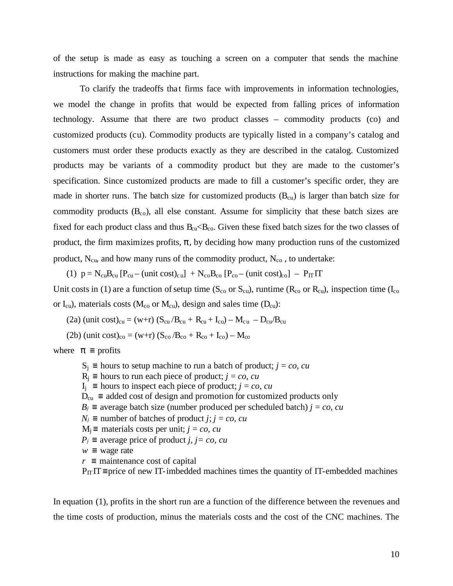of the setup is made as easy as touching a screen on a computer that sends the machine instructions for making the machine part.

To clarify the tradeoffs that firms face with improvements in information technologies, we model the change in profits that would be expected from falling prices of information technology. Assume that there are two product classes – commodity products (co) and customized products (cu). Commodity products are typically listed in a company's catalog and customers must order these products exactly as they are described in the catalog. Customized products may be variants of a commodity product but they are made to the customer's specification. Since customized products are made to fill a customer's specific order, they are made in shorter runs. The batch size for customized products  $(B<sub>cu</sub>)$  is larger than batch size for commodity products  $(B_{co})$ , all else constant. Assume for simplicity that these batch sizes are fixed for each product class and thus  $B_{cu} \lt B_{co}$ . Given these fixed batch sizes for the two classes of product, the firm maximizes profits,  $\pi$ , by deciding how many production runs of the customized product,  $N_{\text{cu}}$ , and how many runs of the commodity product,  $N_{\text{co}}$ , to undertake:

(1)  $p = N_{cu}B_{cu} [P_{cu} - (unit cost)_{cu}] + N_{co}B_{co} [P_{co} - (unit cost)_{co}] - P_{IT} IT$ Unit costs in (1) are a function of setup time ( $S_{\rm co}$  or  $S_{\rm cu}$ ), runtime ( $R_{\rm co}$  or  $R_{\rm cu}$ ), inspection time ( $I_{\rm co}$ or  $I_{\text{cu}}$ , materials costs ( $M_{\text{co}}$  or  $M_{\text{cu}}$ ), design and sales time ( $D_{\text{cu}}$ ):

(2a) (unit cost)<sub>cu</sub> = (w+r) ( $S_{cu}/B_{cu} + R_{cu} + I_{cu} - M_{cu} - D_{cu}/B_{cu}$ 

(2b) (unit cost)<sub>co</sub> = (w+r)  $(S_{\rm co}/B_{\rm co} + R_{\rm co} + I_{\rm co}) - M_{\rm co}$ 

where  $p =$  profits

 $S_i$  = hours to setup machine to run a batch of product; *j* = *co*, *cu*  $R_i$  = hours to run each piece of product; *j* = *co*, *cu*  $I_i$  = hours to inspect each piece of product; *j* = *co*, *cu*  $D_{cu} \equiv$  added cost of design and promotion for customized products only *B*<sup>*j*</sup> ≡ average batch size (number produced per scheduled batch) *j* = *co*, *cu*  $N_j \equiv$  number of batches of product *j*; *j* = *co*, *cu*  $M<sub>i</sub>$ ≡ materials costs per unit; *j* = *co*, *cu*  $P_j \equiv$  average price of product *j, j= co, cu*  $w \equiv$  wage rate  $r \equiv$  maintenance cost of capital  $P_{\text{IT}}$  T= price of new IT-imbedded machines times the quantity of IT-embedded machines

In equation (1), profits in the short run are a function of the difference between the revenues and the time costs of production, minus the materials costs and the cost of the CNC machines. The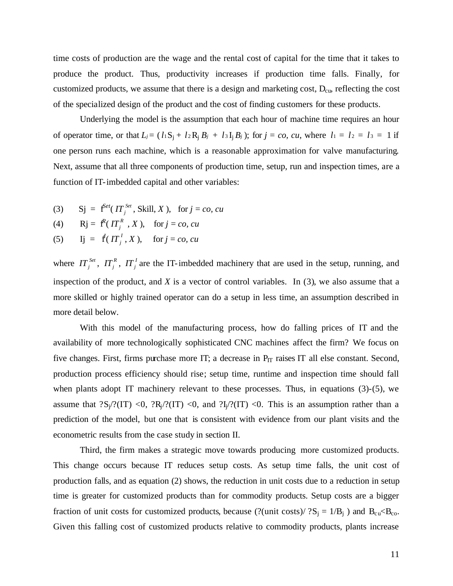time costs of production are the wage and the rental cost of capital for the time that it takes to produce the product. Thus, productivity increases if production time falls. Finally, for customized products, we assume that there is a design and marketing cost,  $D_{cu}$ , reflecting the cost of the specialized design of the product and the cost of finding customers for these products.

Underlying the model is the assumption that each hour of machine time requires an hour of operator time, or that  $L_j = (l_1S_j + l_2R_jB_j + l_3I_jB_j)$ ; for  $j = co$ , cu, where  $l_1 = l_2 = l_3 = 1$  if one person runs each machine, which is a reasonable approximation for valve manufacturing. Next, assume that all three components of production time, setup, run and inspection times, are a function of IT-imbedded capital and other variables:

(3) Sj =  $f^{\text{Set}}(IT_i^{\text{Set}})$  $\int_{i}^{T} T_j^{Set}$ , Skill, *X*), for  $j = co$ , *cu* 

(4) 
$$
Rj = f^{R}(IT_{j}^{R}, X), \text{ for } j = co, cu
$$

(5) Ij =  $f(IT_i^1)$  $IT_j^I$ , *X*), for  $j = co$ , *cu* 

where  $IT_j^{Set}$ ,  $IT_j^R$  $I\!I^{\,R}_{\,j},\;I\!I^{\,I}_{\,j}$  $I\!I\!I'$  are the IT-imbedded machinery that are used in the setup, running, and inspection of the product, and  $X$  is a vector of control variables. In  $(3)$ , we also assume that a more skilled or highly trained operator can do a setup in less time, an assumption described in more detail below.

With this model of the manufacturing process, how do falling prices of IT and the availability of more technologically sophisticated CNC machines affect the firm? We focus on five changes. First, firms purchase more IT; a decrease in  $P_{IT}$  raises IT all else constant. Second, production process efficiency should rise; setup time, runtime and inspection time should fall when plants adopt IT machinery relevant to these processes. Thus, in equations (3)-(5), we assume that  ${}^{2}S_{i}/{}^{2}(IT)$  <0,  ${}^{2}R_{i}/{}^{2}(IT)$  <0, and  ${}^{2}I_{i}/{}^{2}(IT)$  <0. This is an assumption rather than a prediction of the model, but one that is consistent with evidence from our plant visits and the econometric results from the case study in section II.

Third, the firm makes a strategic move towards producing more customized products. This change occurs because IT reduces setup costs. As setup time falls, the unit cost of production falls, and as equation (2) shows, the reduction in unit costs due to a reduction in setup time is greater for customized products than for commodity products. Setup costs are a bigger fraction of unit costs for customized products, because (?(unit costs)/ $?S_j = 1/B_j$ ) and  $B_{cu} \ll B_{co}$ . Given this falling cost of customized products relative to commodity products, plants increase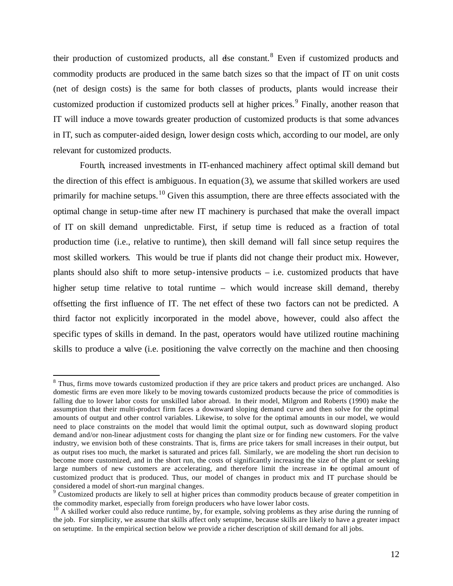their production of customized products, all dse constant. <sup>8</sup> Even if customized products and commodity products are produced in the same batch sizes so that the impact of IT on unit costs (net of design costs) is the same for both classes of products, plants would increase their customized production if customized products sell at higher prices.<sup>9</sup> Finally, another reason that IT will induce a move towards greater production of customized products is that some advances in IT, such as computer-aided design, lower design costs which, according to our model, are only relevant for customized products.

Fourth, increased investments in IT-enhanced machinery affect optimal skill demand but the direction of this effect is ambiguous. In equation (3), we assume that skilled workers are used primarily for machine setups.<sup>10</sup> Given this assumption, there are three effects associated with the optimal change in setup-time after new IT machinery is purchased that make the overall impact of IT on skill demand unpredictable. First, if setup time is reduced as a fraction of total production time (i.e., relative to runtime), then skill demand will fall since setup requires the most skilled workers. This would be true if plants did not change their product mix. However, plants should also shift to more setup-intensive products – i.e. customized products that have higher setup time relative to total runtime – which would increase skill demand, thereby offsetting the first influence of IT. The net effect of these two factors can not be predicted. A third factor not explicitly incorporated in the model above, however, could also affect the specific types of skills in demand. In the past, operators would have utilized routine machining skills to produce a valve (i.e. positioning the valve correctly on the machine and then choosing

<sup>&</sup>lt;sup>8</sup> Thus, firms move towards customized production if they are price takers and product prices are unchanged. Also domestic firms are even more likely to be moving towards customized products because the price of commodities is falling due to lower labor costs for unskilled labor abroad. In their model, Milgrom and Roberts (1990) make the assumption that their multi-product firm faces a downward sloping demand curve and then solve for the optimal amounts of output and other control variables. Likewise, to solve for the optimal amounts in our model, we would need to place constraints on the model that would limit the optimal output, such as downward sloping product demand and/or non-linear adjustment costs for changing the plant size or for finding new customers. For the valve industry, we envision both of these constraints. That is, firms are price takers for small increases in their output, but as output rises too much, the market is saturated and prices fall. Similarly, we are modeling the short run decision to become more customized, and in the short run, the costs of significantly increasing the size of the plant or seeking large numbers of new customers are accelerating, and therefore limit the increase in the optimal amount of customized product that is produced. Thus, our model of changes in product mix and IT purchase should be considered a model of short-run marginal changes.

<sup>&</sup>lt;sup>9</sup> Customized products are likely to sell at higher prices than commodity products because of greater competition in the commodity market, especially from foreign producers who have lower labor costs.

 $^{10}$  A skilled worker could also reduce runtime, by, for example, solving problems as they arise during the running of the job. For simplicity, we assume that skills affect only setuptime, because skills are likely to have a greater impact on setuptime. In the empirical section below we provide a richer description of skill demand for all jobs.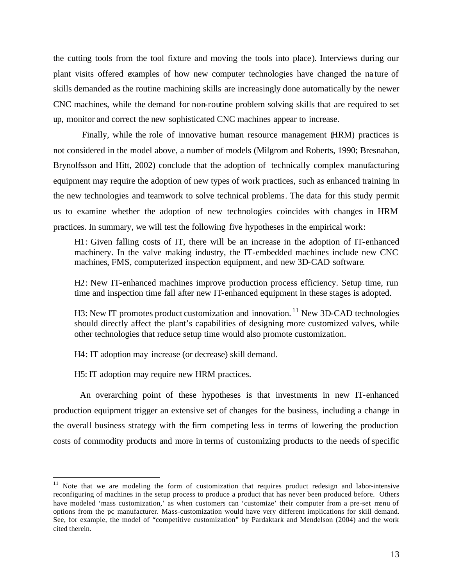the cutting tools from the tool fixture and moving the tools into place). Interviews during our plant visits offered examples of how new computer technologies have changed the na ture of skills demanded as the routine machining skills are increasingly done automatically by the newer CNC machines, while the demand for non-routine problem solving skills that are required to set up, monitor and correct the new sophisticated CNC machines appear to increase.

Finally, while the role of innovative human resource management (HRM) practices is not considered in the model above, a number of models (Milgrom and Roberts, 1990; Bresnahan, Brynolfsson and Hitt, 2002) conclude that the adoption of technically complex manufacturing equipment may require the adoption of new types of work practices, such as enhanced training in the new technologies and teamwork to solve technical problems. The data for this study permit us to examine whether the adoption of new technologies coincides with changes in HRM practices. In summary, we will test the following five hypotheses in the empirical work:

H1: Given falling costs of IT, there will be an increase in the adoption of IT-enhanced machinery. In the valve making industry, the IT-embedded machines include new CNC machines, FMS, computerized inspection equipment, and new 3D-CAD software.

H2: New IT-enhanced machines improve production process efficiency. Setup time, run time and inspection time fall after new IT-enhanced equipment in these stages is adopted.

H3: New IT promotes product customization and innovation.<sup>11</sup> New 3D-CAD technologies should directly affect the plant's capabilities of designing more customized valves, while other technologies that reduce setup time would also promote customization.

H4: IT adoption may increase (or decrease) skill demand.

H5: IT adoption may require new HRM practices.

 $\overline{a}$ 

An overarching point of these hypotheses is that investments in new IT-enhanced production equipment trigger an extensive set of changes for the business, including a change in the overall business strategy with the firm competing less in terms of lowering the production costs of commodity products and more in terms of customizing products to the needs of specific

<sup>&</sup>lt;sup>11</sup> Note that we are modeling the form of customization that requires product redesign and labor-intensive reconfiguring of machines in the setup process to produce a product that has never been produced before. Others have modeled 'mass customization,' as when customers can 'customize' their computer from a pre-set menu of options from the pc manufacturer. Mass-customization would have very different implications for skill demand. See, for example, the model of "competitive customization" by Pardaktark and Mendelson (2004) and the work cited therein.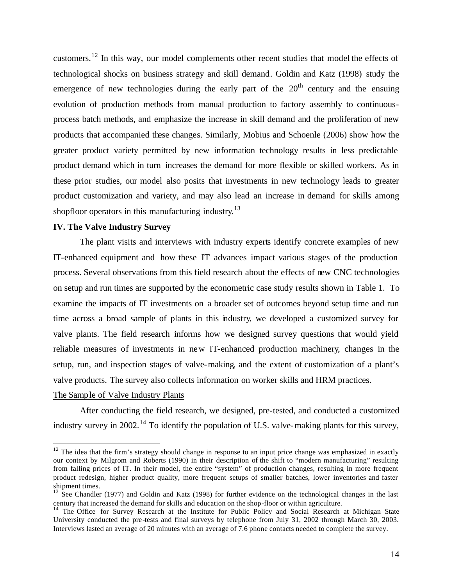customers.<sup>12</sup> In this way, our model complements other recent studies that model the effects of technological shocks on business strategy and skill demand. Goldin and Katz (1998) study the emergence of new technologies during the early part of the  $20<sup>th</sup>$  century and the ensuing evolution of production methods from manual production to factory assembly to continuousprocess batch methods, and emphasize the increase in skill demand and the proliferation of new products that accompanied these changes. Similarly, Mobius and Schoenle (2006) show how the greater product variety permitted by new information technology results in less predictable product demand which in turn increases the demand for more flexible or skilled workers. As in these prior studies, our model also posits that investments in new technology leads to greater product customization and variety, and may also lead an increase in demand for skills among shopfloor operators in this manufacturing industry.<sup>13</sup>

#### **IV. The Valve Industry Survey**

The plant visits and interviews with industry experts identify concrete examples of new IT-enhanced equipment and how these IT advances impact various stages of the production process. Several observations from this field research about the effects of new CNC technologies on setup and run times are supported by the econometric case study results shown in Table 1. To examine the impacts of IT investments on a broader set of outcomes beyond setup time and run time across a broad sample of plants in this industry, we developed a customized survey for valve plants. The field research informs how we designed survey questions that would yield reliable measures of investments in new IT-enhanced production machinery, changes in the setup, run, and inspection stages of valve-making, and the extent of customization of a plant's valve products. The survey also collects information on worker skills and HRM practices.

#### The Sample of Valve Industry Plants

 $\overline{a}$ 

After conducting the field research, we designed, pre-tested, and conducted a customized industry survey in 2002.<sup>14</sup> To identify the population of U.S. valve-making plants for this survey,

 $12$  The idea that the firm's strategy should change in response to an input price change was emphasized in exactly our context by Milgrom and Roberts (1990) in their description of the shift to "modern manufacturing" resulting from falling prices of IT. In their model, the entire "system" of production changes, resulting in more frequent product redesign, higher product quality, more frequent setups of smaller batches, lower inventories and faster shipment times.

<sup>&</sup>lt;sup>13</sup> See Chandler (1977) and Goldin and Katz (1998) for further evidence on the technological changes in the last century that increased the demand for skills and education on the shop-floor or within agriculture.

<sup>&</sup>lt;sup>14</sup> The Office for Survey Research at the Institute for Public Policy and Social Research at Michigan State University conducted the pre-tests and final surveys by telephone from July 31, 2002 through March 30, 2003. Interviews lasted an average of 20 minutes with an average of 7.6 phone contacts needed to complete the survey.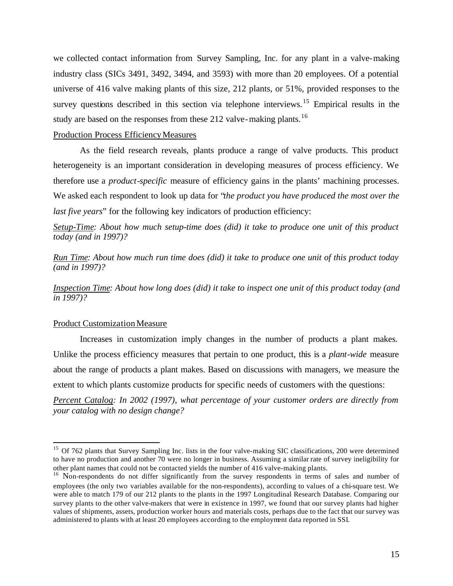we collected contact information from Survey Sampling, Inc. for any plant in a valve-making industry class (SICs 3491, 3492, 3494, and 3593) with more than 20 employees. Of a potential universe of 416 valve making plants of this size, 212 plants, or 51%, provided responses to the survey questions described in this section via telephone interviews.<sup>15</sup> Empirical results in the study are based on the responses from these 212 valve-making plants.<sup>16</sup>

### Production Process Efficiency Measures

As the field research reveals, plants produce a range of valve products. This product heterogeneity is an important consideration in developing measures of process efficiency. We therefore use a *product-specific* measure of efficiency gains in the plants' machining processes. We asked each respondent to look up data for "*the product you have produced the most over the last five years*" for the following key indicators of production efficiency:

*Setup-Time: About how much setup-time does (did) it take to produce one unit of this product today (and in 1997)?*

*Run Time: About how much run time does (did) it take to produce one unit of this product today (and in 1997)?*

*Inspection Time: About how long does (did) it take to inspect one unit of this product today (and in 1997)?*

#### Product Customization Measure

 $\overline{a}$ 

Increases in customization imply changes in the number of products a plant makes. Unlike the process efficiency measures that pertain to one product, this is a *plant-wide* measure about the range of products a plant makes. Based on discussions with managers, we measure the extent to which plants customize products for specific needs of customers with the questions:

*Percent Catalog: In 2002 (1997), what percentage of your customer orders are directly from your catalog with no design change?* 

<sup>&</sup>lt;sup>15</sup> Of 762 plants that Survey Sampling Inc. lists in the four valve-making SIC classifications, 200 were determined to have no production and another 70 were no longer in business. Assuming a similar rate of survey ineligibility for other plant names that could not be contacted yields the number of 416 valve-making plants.

<sup>&</sup>lt;sup>16</sup> Non-respondents do not differ significantly from the survey respondents in terms of sales and number of employees (the only two variables available for the non-respondents), according to values of a chi-square test. We were able to match 179 of our 212 plants to the plants in the 1997 Longitudinal Research Database. Comparing our survey plants to the other valve-makers that were in existence in 1997, we found that our survey plants had higher values of shipments, assets, production worker hours and materials costs, perhaps due to the fact that our survey was administered to plants with at least 20 employees according to the employment data reported in SSI.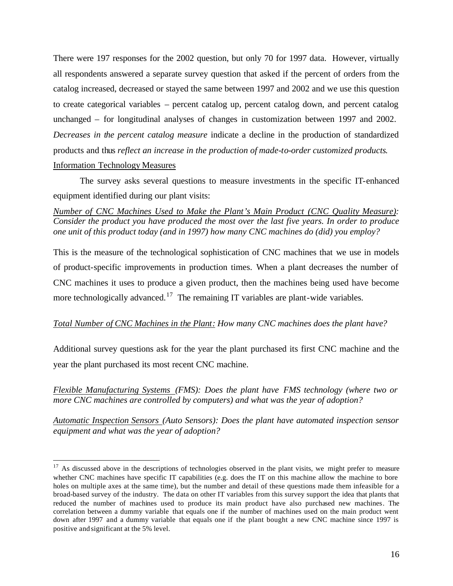There were 197 responses for the 2002 question, but only 70 for 1997 data. However, virtually all respondents answered a separate survey question that asked if the percent of orders from the catalog increased, decreased or stayed the same between 1997 and 2002 and we use this question to create categorical variables – percent catalog up, percent catalog down, and percent catalog unchanged – for longitudinal analyses of changes in customization between 1997 and 2002. *Decreases in the percent catalog measure* indicate a decline in the production of standardized products and thus *reflect an increase in the production of made-to-order customized products*. Information Technology Measures

The survey asks several questions to measure investments in the specific IT-enhanced equipment identified during our plant visits:

*Number of CNC Machines Used to Make the Plant's Main Product (CNC Quality Measure): Consider the product you have produced the most over the last five years. In order to produce one unit of this product today (and in 1997) how many CNC machines do (did) you employ?*

This is the measure of the technological sophistication of CNC machines that we use in models of product-specific improvements in production times. When a plant decreases the number of CNC machines it uses to produce a given product, then the machines being used have become more technologically advanced.<sup>17</sup> The remaining IT variables are plant-wide variables.

## *Total Number of CNC Machines in the Plant: How many CNC machines does the plant have?*

Additional survey questions ask for the year the plant purchased its first CNC machine and the year the plant purchased its most recent CNC machine.

*Flexible Manufacturing Systems (FMS): Does the plant have FMS technology (where two or more CNC machines are controlled by computers) and what was the year of adoption?*

*Automatic Inspection Sensors (Auto Sensors): Does the plant have automated inspection sensor equipment and what was the year of adoption?*

 $17$  As discussed above in the descriptions of technologies observed in the plant visits, we might prefer to measure whether CNC machines have specific IT capabilities (e.g. does the IT on this machine allow the machine to bore holes on multiple axes at the same time), but the number and detail of these questions made them infeasible for a broad-based survey of the industry. The data on other IT variables from this survey support the idea that plants that reduced the number of machines used to produce its main product have also purchased new machines. The correlation between a dummy variable that equals one if the number of machines used on the main product went down after 1997 and a dummy variable that equals one if the plant bought a new CNC machine since 1997 is positive and significant at the 5% level.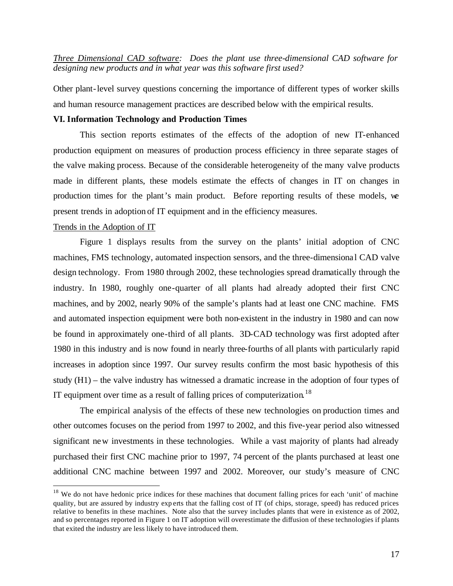*Three Dimensional CAD software: Does the plant use three-dimensional CAD software for designing new products and in what year was this software first used?* 

Other plant-level survey questions concerning the importance of different types of worker skills and human resource management practices are described below with the empirical results.

### **VI. Information Technology and Production Times**

This section reports estimates of the effects of the adoption of new IT-enhanced production equipment on measures of production process efficiency in three separate stages of the valve making process. Because of the considerable heterogeneity of the many valve products made in different plants, these models estimate the effects of changes in IT on changes in production times for the plant's main product. Before reporting results of these models, we present trends in adoption of IT equipment and in the efficiency measures.

#### Trends in the Adoption of IT

 $\overline{a}$ 

Figure 1 displays results from the survey on the plants' initial adoption of CNC machines, FMS technology, automated inspection sensors, and the three-dimensional CAD valve design technology. From 1980 through 2002, these technologies spread dramatically through the industry. In 1980, roughly one-quarter of all plants had already adopted their first CNC machines, and by 2002, nearly 90% of the sample's plants had at least one CNC machine. FMS and automated inspection equipment were both non-existent in the industry in 1980 and can now be found in approximately one-third of all plants. 3D-CAD technology was first adopted after 1980 in this industry and is now found in nearly three-fourths of all plants with particularly rapid increases in adoption since 1997. Our survey results confirm the most basic hypothesis of this study (H1) – the valve industry has witnessed a dramatic increase in the adoption of four types of IT equipment over time as a result of falling prices of computerization.<sup>18</sup>

The empirical analysis of the effects of these new technologies on production times and other outcomes focuses on the period from 1997 to 2002, and this five-year period also witnessed significant new investments in these technologies. While a vast majority of plants had already purchased their first CNC machine prior to 1997, 74 percent of the plants purchased at least one additional CNC machine between 1997 and 2002. Moreover, our study's measure of CNC

 $18$  We do not have hedonic price indices for these machines that document falling prices for each 'unit' of machine quality, but are assured by industry exp erts that the falling cost of IT (of chips, storage, speed) has reduced prices relative to benefits in these machines. Note also that the survey includes plants that were in existence as of 2002, and so percentages reported in Figure 1 on IT adoption will overestimate the diffusion of these technologies if plants that exited the industry are less likely to have introduced them.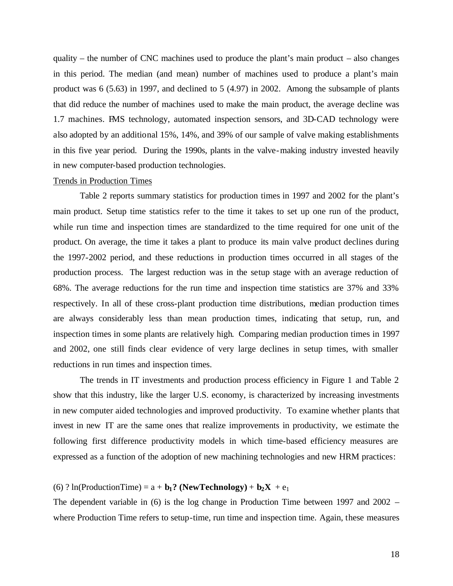quality – the number of CNC machines used to produce the plant's main product – also changes in this period. The median (and mean) number of machines used to produce a plant's main product was 6 (5.63) in 1997, and declined to 5 (4.97) in 2002. Among the subsample of plants that did reduce the number of machines used to make the main product, the average decline was 1.7 machines. FMS technology, automated inspection sensors, and 3D-CAD technology were also adopted by an additional 15%, 14%, and 39% of our sample of valve making establishments in this five year period. During the 1990s, plants in the valve-making industry invested heavily in new computer-based production technologies.

## Trends in Production Times

Table 2 reports summary statistics for production times in 1997 and 2002 for the plant's main product. Setup time statistics refer to the time it takes to set up one run of the product, while run time and inspection times are standardized to the time required for one unit of the product. On average, the time it takes a plant to produce its main valve product declines during the 1997-2002 period, and these reductions in production times occurred in all stages of the production process. The largest reduction was in the setup stage with an average reduction of 68%. The average reductions for the run time and inspection time statistics are 37% and 33% respectively. In all of these cross-plant production time distributions, median production times are always considerably less than mean production times, indicating that setup, run, and inspection times in some plants are relatively high. Comparing median production times in 1997 and 2002, one still finds clear evidence of very large declines in setup times, with smaller reductions in run times and inspection times.

The trends in IT investments and production process efficiency in Figure 1 and Table 2 show that this industry, like the larger U.S. economy, is characterized by increasing investments in new computer aided technologies and improved productivity. To examine whether plants that invest in new IT are the same ones that realize improvements in productivity, we estimate the following first difference productivity models in which time-based efficiency measures are expressed as a function of the adoption of new machining technologies and new HRM practices:

# (6) ?  $ln(ProductionTime) = a + b_1$ ? (**NewTechnology**) +  $b_2X + e_1$

The dependent variable in (6) is the log change in Production Time between 1997 and 2002 – where Production Time refers to setup-time, run time and inspection time. Again, these measures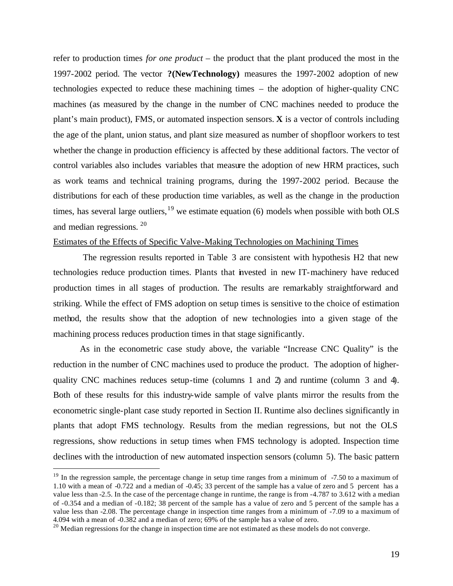refer to production times *for one product* – the product that the plant produced the most in the 1997-2002 period. The vector **?(NewTechnology)** measures the 1997-2002 adoption of new technologies expected to reduce these machining times – the adoption of higher-quality CNC machines (as measured by the change in the number of CNC machines needed to produce the plant's main product), FMS, or automated inspection sensors. **X** is a vector of controls including the age of the plant, union status, and plant size measured as number of shopfloor workers to test whether the change in production efficiency is affected by these additional factors. The vector of control variables also includes variables that measure the adoption of new HRM practices, such as work teams and technical training programs, during the 1997-2002 period. Because the distributions for each of these production time variables, as well as the change in the production times, has several large outliers,  $19$  we estimate equation (6) models when possible with both OLS and median regressions. <sup>20</sup>

## Estimates of the Effects of Specific Valve-Making Technologies on Machining Times

 The regression results reported in Table 3 are consistent with hypothesis H2 that new technologies reduce production times. Plants that invested in new IT-machinery have reduced production times in all stages of production. The results are remarkably straightforward and striking. While the effect of FMS adoption on setup times is sensitive to the choice of estimation method, the results show that the adoption of new technologies into a given stage of the machining process reduces production times in that stage significantly.

As in the econometric case study above, the variable "Increase CNC Quality" is the reduction in the number of CNC machines used to produce the product. The adoption of higherquality CNC machines reduces setup-time (columns 1 and 2) and runtime (column 3 and 4). Both of these results for this industry-wide sample of valve plants mirror the results from the econometric single-plant case study reported in Section II. Runtime also declines significantly in plants that adopt FMS technology. Results from the median regressions, but not the OLS regressions, show reductions in setup times when FMS technology is adopted. Inspection time declines with the introduction of new automated inspection sensors (column 5). The basic pattern

 $19$  In the regression sample, the percentage change in setup time ranges from a minimum of  $-7.50$  to a maximum of 1.10 with a mean of -0.722 and a median of -0.45; 33 percent of the sample has a value of zero and 5 percent has a value less than -2.5. In the case of the percentage change in runtime, the range is from -4.787 to 3.612 with a median of -0.354 and a median of -0.182; 38 percent of the sample has a value of zero and 5 percent of the sample has a value less than -2.08. The percentage change in inspection time ranges from a minimum of -7.09 to a maximum of 4.094 with a mean of -0.382 and a median of zero; 69% of the sample has a value of zero.

 $20$  Median regressions for the change in inspection time are not estimated as these models do not converge.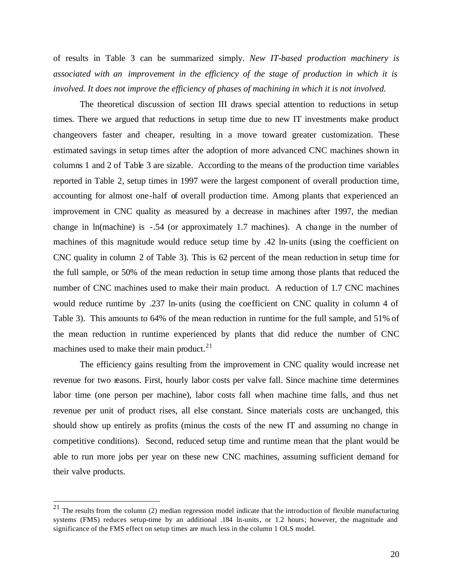of results in Table 3 can be summarized simply. *New IT-based production machinery is associated with an improvement in the efficiency of the stage of production in which it is involved. It does not improve the efficiency of phases of machining in which it is not involved.* 

The theoretical discussion of section III draws special attention to reductions in setup times. There we argued that reductions in setup time due to new IT investments make product changeovers faster and cheaper, resulting in a move toward greater customization. These estimated savings in setup times after the adoption of more advanced CNC machines shown in columns 1 and 2 of Table 3 are sizable. According to the means of the production time variables reported in Table 2, setup times in 1997 were the largest component of overall production time, accounting for almost one-half of overall production time. Among plants that experienced an improvement in CNC quality as measured by a decrease in machines after 1997, the median change in ln(machine) is -.54 (or approximately 1.7 machines). A change in the number of machines of this magnitude would reduce setup time by .42 ln-units (using the coefficient on CNC quality in column 2 of Table 3). This is 62 percent of the mean reduction in setup time for the full sample, or 50% of the mean reduction in setup time among those plants that reduced the number of CNC machines used to make their main product. A reduction of 1.7 CNC machines would reduce runtime by .237 ln-units (using the coefficient on CNC quality in column 4 of Table 3). This amounts to 64% of the mean reduction in runtime for the full sample, and 51% of the mean reduction in runtime experienced by plants that did reduce the number of CNC machines used to make their main product. $21$ 

The efficiency gains resulting from the improvement in CNC quality would increase net revenue for two reasons. First, hourly labor costs per valve fall. Since machine time determines labor time (one person per machine), labor costs fall when machine time falls, and thus net revenue per unit of product rises, all else constant. Since materials costs are unchanged, this should show up entirely as profits (minus the costs of the new IT and assuming no change in competitive conditions). Second, reduced setup time and runtime mean that the plant would be able to run more jobs per year on these new CNC machines, assuming sufficient demand for their valve products.

 $21$  The results from the column (2) median regression model indicate that the introduction of flexible manufacturing systems (FMS) reduces setup-time by an additional .184 ln-units, or 1.2 hours; however, the magnitude and significance of the FMS effect on setup times are much less in the column 1 OLS model.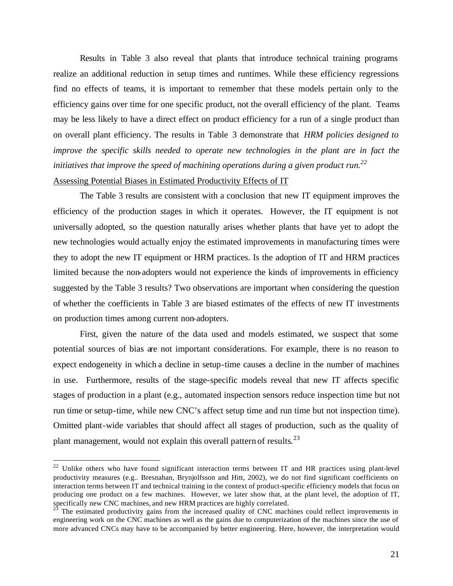Results in Table 3 also reveal that plants that introduce technical training programs realize an additional reduction in setup times and runtimes. While these efficiency regressions find no effects of teams, it is important to remember that these models pertain only to the efficiency gains over time for one specific product, not the overall efficiency of the plant. Teams may be less likely to have a direct effect on product efficiency for a run of a single product than on overall plant efficiency. The results in Table 3 demonstrate that *HRM policies designed to improve the specific skills needed to operate new technologies in the plant are in fact the initiatives that improve the speed of machining operations during a given product run.<sup>22</sup>*

## Assessing Potential Biases in Estimated Productivity Effects of IT

 $\overline{a}$ 

The Table 3 results are consistent with a conclusion that new IT equipment improves the efficiency of the production stages in which it operates. However, the IT equipment is not universally adopted, so the question naturally arises whether plants that have yet to adopt the new technologies would actually enjoy the estimated improvements in manufacturing times were they to adopt the new IT equipment or HRM practices. Is the adoption of IT and HRM practices limited because the non-adopters would not experience the kinds of improvements in efficiency suggested by the Table 3 results? Two observations are important when considering the question of whether the coefficients in Table 3 are biased estimates of the effects of new IT investments on production times among current non-adopters.

First, given the nature of the data used and models estimated, we suspect that some potential sources of bias are not important considerations. For example, there is no reason to expect endogeneity in which a decline in setup-time causes a decline in the number of machines in use. Furthermore, results of the stage-specific models reveal that new IT affects specific stages of production in a plant (e.g., automated inspection sensors reduce inspection time but not run time or setup-time, while new CNC's affect setup time and run time but not inspection time). Omitted plant-wide variables that should affect all stages of production, such as the quality of plant management, would not explain this overall pattern of results.<sup>23</sup>

 $22$  Unlike others who have found significant interaction terms between IT and HR practices using plant-level productivity measures (e.g.. Bresnahan, Brynjolfsson and Hitt, 2002), we do not find significant coefficients on interaction terms between IT and technical training in the context of product-specific efficiency models that focus on producing one product on a few machines. However, we later show that, at the plant level, the adoption of IT, specifically new CNC machines, and new HRM practices are highly correlated.

<sup>&</sup>lt;sup>23</sup> The estimated productivity gains from the increased quality of CNC machines could reflect improvements in engineering work on the CNC machines as well as the gains due to computerization of the machines since the use of more advanced CNCs may have to be accompanied by better engineering. Here, however, the interpretation would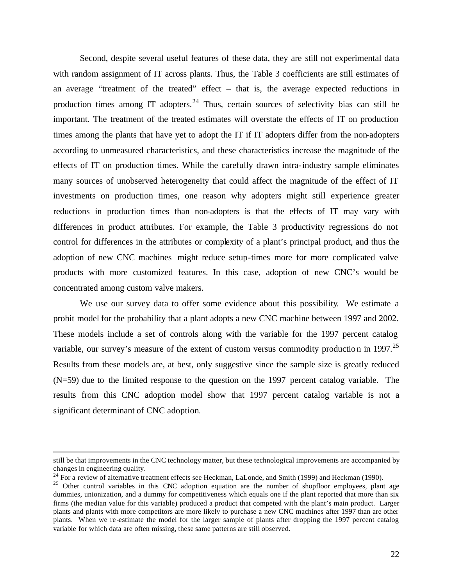Second, despite several useful features of these data, they are still not experimental data with random assignment of IT across plants. Thus, the Table 3 coefficients are still estimates of an average "treatment of the treated" effect – that is, the average expected reductions in production times among IT adopters.<sup>24</sup> Thus, certain sources of selectivity bias can still be important. The treatment of the treated estimates will overstate the effects of IT on production times among the plants that have yet to adopt the IT if IT adopters differ from the non-adopters according to unmeasured characteristics, and these characteristics increase the magnitude of the effects of IT on production times. While the carefully drawn intra-industry sample eliminates many sources of unobserved heterogeneity that could affect the magnitude of the effect of IT investments on production times, one reason why adopters might still experience greater reductions in production times than non-adopters is that the effects of IT may vary with differences in product attributes. For example, the Table 3 productivity regressions do not control for differences in the attributes or complexity of a plant's principal product, and thus the adoption of new CNC machines might reduce setup-times more for more complicated valve products with more customized features. In this case, adoption of new CNC's would be concentrated among custom valve makers.

We use our survey data to offer some evidence about this possibility. We estimate a probit model for the probability that a plant adopts a new CNC machine between 1997 and 2002. These models include a set of controls along with the variable for the 1997 percent catalog variable, our survey's measure of the extent of custom versus commodity production in 1997.<sup>25</sup> Results from these models are, at best, only suggestive since the sample size is greatly reduced (N=59) due to the limited response to the question on the 1997 percent catalog variable. The results from this CNC adoption model show that 1997 percent catalog variable is not a significant determinant of CNC adoption.

still be that improvements in the CNC technology matter, but these technological improvements are accompanied by changes in engineering quality.

<sup>&</sup>lt;sup>24</sup> For a review of alternative treatment effects see Heckman, LaLonde, and Smith (1999) and Heckman (1990).

<sup>&</sup>lt;sup>25</sup> Other control variables in this CNC adoption equation are the number of shopfloor employees, plant age dummies, unionization, and a dummy for competitiveness which equals one if the plant reported that more than six firms (the median value for this variable) produced a product that competed with the plant's main product. Larger plants and plants with more competitors are more likely to purchase a new CNC machines after 1997 than are other plants. When we re-estimate the model for the larger sample of plants after dropping the 1997 percent catalog variable for which data are often missing, these same patterns are still observed.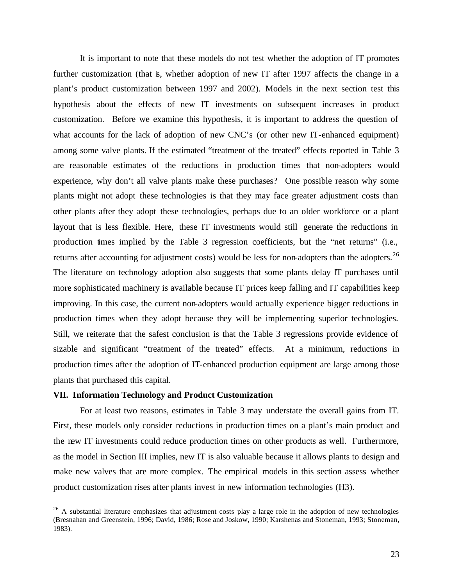It is important to note that these models do not test whether the adoption of IT promotes further customization (that is, whether adoption of new IT after 1997 affects the change in a plant's product customization between 1997 and 2002). Models in the next section test this hypothesis about the effects of new IT investments on subsequent increases in product customization. Before we examine this hypothesis, it is important to address the question of what accounts for the lack of adoption of new CNC's (or other new IT-enhanced equipment) among some valve plants. If the estimated "treatment of the treated" effects reported in Table 3 are reasonable estimates of the reductions in production times that non-adopters would experience, why don't all valve plants make these purchases? One possible reason why some plants might not adopt these technologies is that they may face greater adjustment costs than other plants after they adopt these technologies, perhaps due to an older workforce or a plant layout that is less flexible. Here, these IT investments would still generate the reductions in production times implied by the Table 3 regression coefficients, but the "net returns" (i.e., returns after accounting for adjustment costs) would be less for non-adopters than the adopters.<sup>26</sup> The literature on technology adoption also suggests that some plants delay IT purchases until more sophisticated machinery is available because IT prices keep falling and IT capabilities keep improving. In this case, the current non-adopters would actually experience bigger reductions in production times when they adopt because they will be implementing superior technologies. Still, we reiterate that the safest conclusion is that the Table 3 regressions provide evidence of sizable and significant "treatment of the treated" effects. At a minimum, reductions in production times after the adoption of IT-enhanced production equipment are large among those plants that purchased this capital.

### **VII. Information Technology and Product Customization**

 $\overline{a}$ 

For at least two reasons, estimates in Table 3 may understate the overall gains from IT. First, these models only consider reductions in production times on a plant's main product and the new IT investments could reduce production times on other products as well. Furthermore, as the model in Section III implies, new IT is also valuable because it allows plants to design and make new valves that are more complex. The empirical models in this section assess whether product customization rises after plants invest in new information technologies (H3).

<sup>&</sup>lt;sup>26</sup> A substantial literature emphasizes that adjustment costs play a large role in the adoption of new technologies (Bresnahan and Greenstein, 1996; David, 1986; Rose and Joskow, 1990; Karshenas and Stoneman, 1993; Stoneman, 1983).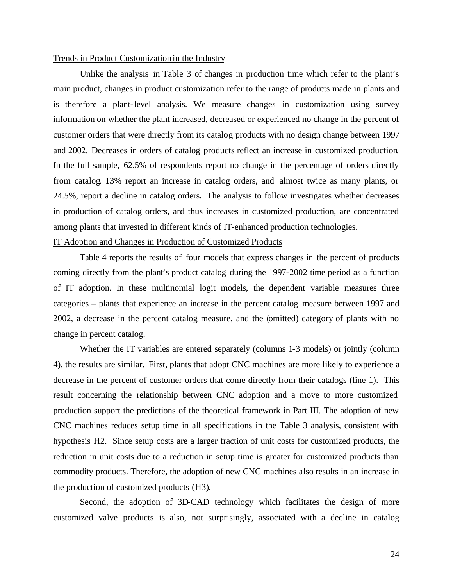#### Trends in Product Customization in the Industry

Unlike the analysis in Table 3 of changes in production time which refer to the plant's main product, changes in product customization refer to the range of products made in plants and is therefore a plant-level analysis. We measure changes in customization using survey information on whether the plant increased, decreased or experienced no change in the percent of customer orders that were directly from its catalog products with no design change between 1997 and 2002. Decreases in orders of catalog products reflect an increase in customized production. In the full sample, 62.5% of respondents report no change in the percentage of orders directly from catalog. 13% report an increase in catalog orders, and almost twice as many plants, or 24.5%, report a decline in catalog orders**.** The analysis to follow investigates whether decreases in production of catalog orders, and thus increases in customized production, are concentrated among plants that invested in different kinds of IT-enhanced production technologies.

### IT Adoption and Changes in Production of Customized Products

Table 4 reports the results of four models that express changes in the percent of products coming directly from the plant's product catalog during the 1997-2002 time period as a function of IT adoption. In these multinomial logit models, the dependent variable measures three categories – plants that experience an increase in the percent catalog measure between 1997 and 2002, a decrease in the percent catalog measure, and the (omitted) category of plants with no change in percent catalog.

Whether the IT variables are entered separately (columns 1-3 models) or jointly (column 4), the results are similar. First, plants that adopt CNC machines are more likely to experience a decrease in the percent of customer orders that come directly from their catalogs (line 1). This result concerning the relationship between CNC adoption and a move to more customized production support the predictions of the theoretical framework in Part III. The adoption of new CNC machines reduces setup time in all specifications in the Table 3 analysis, consistent with hypothesis H2. Since setup costs are a larger fraction of unit costs for customized products, the reduction in unit costs due to a reduction in setup time is greater for customized products than commodity products. Therefore, the adoption of new CNC machines also results in an increase in the production of customized products (H3).

Second, the adoption of 3D-CAD technology which facilitates the design of more customized valve products is also, not surprisingly, associated with a decline in catalog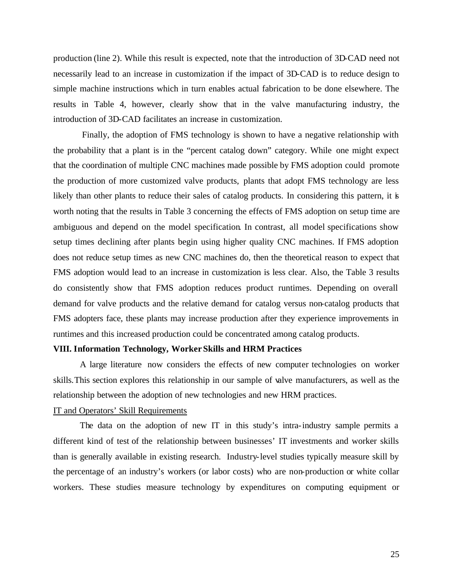production (line 2). While this result is expected, note that the introduction of 3D-CAD need not necessarily lead to an increase in customization if the impact of 3D-CAD is to reduce design to simple machine instructions which in turn enables actual fabrication to be done elsewhere. The results in Table 4, however, clearly show that in the valve manufacturing industry, the introduction of 3D-CAD facilitates an increase in customization.

Finally, the adoption of FMS technology is shown to have a negative relationship with the probability that a plant is in the "percent catalog down" category. While one might expect that the coordination of multiple CNC machines made possible by FMS adoption could promote the production of more customized valve products, plants that adopt FMS technology are less likely than other plants to reduce their sales of catalog products. In considering this pattern, it is worth noting that the results in Table 3 concerning the effects of FMS adoption on setup time are ambiguous and depend on the model specification. In contrast, all model specifications show setup times declining after plants begin using higher quality CNC machines. If FMS adoption does not reduce setup times as new CNC machines do, then the theoretical reason to expect that FMS adoption would lead to an increase in customization is less clear. Also, the Table 3 results do consistently show that FMS adoption reduces product runtimes. Depending on overall demand for valve products and the relative demand for catalog versus non-catalog products that FMS adopters face, these plants may increase production after they experience improvements in runtimes and this increased production could be concentrated among catalog products.

#### **VIII. Information Technology, Worker Skills and HRM Practices**

A large literature now considers the effects of new computer technologies on worker skills.This section explores this relationship in our sample of valve manufacturers, as well as the relationship between the adoption of new technologies and new HRM practices.

### IT and Operators' Skill Requirements

The data on the adoption of new IT in this study's intra-industry sample permits a different kind of test of the relationship between businesses' IT investments and worker skills than is generally available in existing research. Industry-level studies typically measure skill by the percentage of an industry's workers (or labor costs) who are non-production or white collar workers. These studies measure technology by expenditures on computing equipment or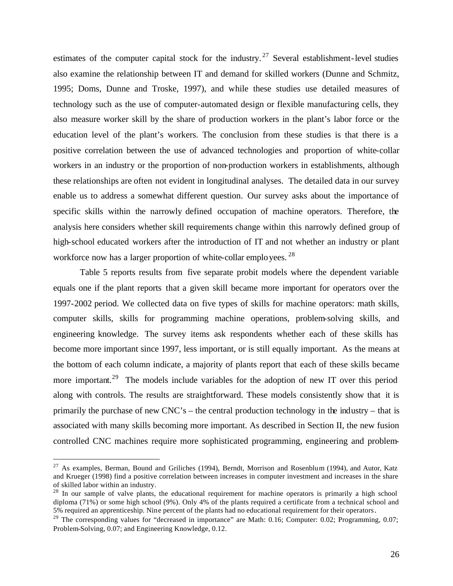estimates of the computer capital stock for the industry.<sup>27</sup> Several establishment-level studies also examine the relationship between IT and demand for skilled workers (Dunne and Schmitz, 1995; Doms, Dunne and Troske, 1997), and while these studies use detailed measures of technology such as the use of computer-automated design or flexible manufacturing cells, they also measure worker skill by the share of production workers in the plant's labor force or the education level of the plant's workers. The conclusion from these studies is that there is a positive correlation between the use of advanced technologies and proportion of white-collar workers in an industry or the proportion of non-production workers in establishments, although these relationships are often not evident in longitudinal analyses. The detailed data in our survey enable us to address a somewhat different question. Our survey asks about the importance of specific skills within the narrowly defined occupation of machine operators. Therefore, the analysis here considers whether skill requirements change within this narrowly defined group of high-school educated workers after the introduction of IT and not whether an industry or plant workforce now has a larger proportion of white-collar employees.<sup>28</sup>

Table 5 reports results from five separate probit models where the dependent variable equals one if the plant reports that a given skill became more important for operators over the 1997-2002 period. We collected data on five types of skills for machine operators: math skills, computer skills, skills for programming machine operations, problem-solving skills, and engineering knowledge. The survey items ask respondents whether each of these skills has become more important since 1997, less important, or is still equally important. As the means at the bottom of each column indicate, a majority of plants report that each of these skills became more important.<sup>29</sup> The models include variables for the adoption of new IT over this period along with controls. The results are straightforward. These models consistently show that it is primarily the purchase of new CNC's – the central production technology in the industry – that is associated with many skills becoming more important. As described in Section II, the new fusion controlled CNC machines require more sophisticated programming, engineering and problem-

 $27$  As examples, Berman, Bound and Griliches (1994), Berndt, Morrison and Rosenblum (1994), and Autor, Katz and Krueger (1998) find a positive correlation between increases in computer investment and increases in the share of skilled labor within an industry.

<sup>&</sup>lt;sup>28</sup> In our sample of valve plants, the educational requirement for machine operators is primarily a high school diploma (71%) or some high school (9%). Only 4% of the plants required a certificate from a technical school and 5% required an apprenticeship. Nine percent of the plants had no educational requirement for their operators.

<sup>&</sup>lt;sup>29</sup> The corresponding values for "decreased in importance" are Math: 0.16; Computer: 0.02; Programming, 0.07; Problem-Solving, 0.07; and Engineering Knowledge, 0.12.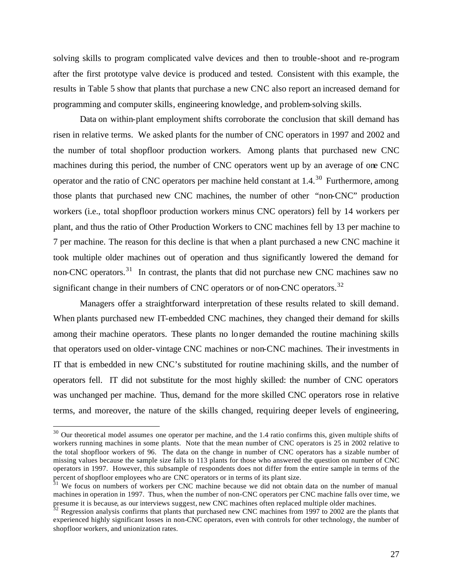solving skills to program complicated valve devices and then to trouble-shoot and re-program after the first prototype valve device is produced and tested. Consistent with this example, the results in Table 5 show that plants that purchase a new CNC also report an increased demand for programming and computer skills, engineering knowledge, and problem-solving skills.

Data on within-plant employment shifts corroborate the conclusion that skill demand has risen in relative terms. We asked plants for the number of CNC operators in 1997 and 2002 and the number of total shopfloor production workers. Among plants that purchased new CNC machines during this period, the number of CNC operators went up by an average of one CNC operator and the ratio of CNC operators per machine held constant at  $1.4$ <sup>30</sup> Furthermore, among those plants that purchased new CNC machines, the number of other "non-CNC" production workers (i.e., total shopfloor production workers minus CNC operators) fell by 14 workers per plant, and thus the ratio of Other Production Workers to CNC machines fell by 13 per machine to 7 per machine. The reason for this decline is that when a plant purchased a new CNC machine it took multiple older machines out of operation and thus significantly lowered the demand for non-CNC operators.<sup>31</sup> In contrast, the plants that did not purchase new CNC machines saw no significant change in their numbers of CNC operators or of non-CNC operators.<sup>32</sup>

Managers offer a straightforward interpretation of these results related to skill demand. When plants purchased new IT-embedded CNC machines, they changed their demand for skills among their machine operators. These plants no longer demanded the routine machining skills that operators used on older-vintage CNC machines or non-CNC machines. Their investments in IT that is embedded in new CNC's substituted for routine machining skills, and the number of operators fell. IT did not substitute for the most highly skilled: the number of CNC operators was unchanged per machine. Thus, demand for the more skilled CNC operators rose in relative terms, and moreover, the nature of the skills changed, requiring deeper levels of engineering,

 $30$  Our theoretical model assumes one operator per machine, and the 1.4 ratio confirms this, given multiple shifts of workers running machines in some plants. Note that the mean number of CNC operators is 25 in 2002 relative to the total shopfloor workers of 96. The data on the change in number of CNC operators has a sizable number of missing values because the sample size falls to 113 plants for those who answered the question on number of CNC operators in 1997. However, this subsample of respondents does not differ from the entire sample in terms of the percent of shopfloor employees who are CNC operators or in terms of its plant size.

 $31$  We focus on numbers of workers per CNC machine because we did not obtain data on the number of manual machines in operation in 1997. Thus, when the number of non-CNC operators per CNC machine falls over time, we presume it is because, as our interviews suggest, new CNC machines often replaced multiple older machines.

 $32$  Regression analysis confirms that plants that purchased new CNC machines from 1997 to 2002 are the plants that experienced highly significant losses in non-CNC operators, even with controls for other technology, the number of shopfloor workers, and unionization rates.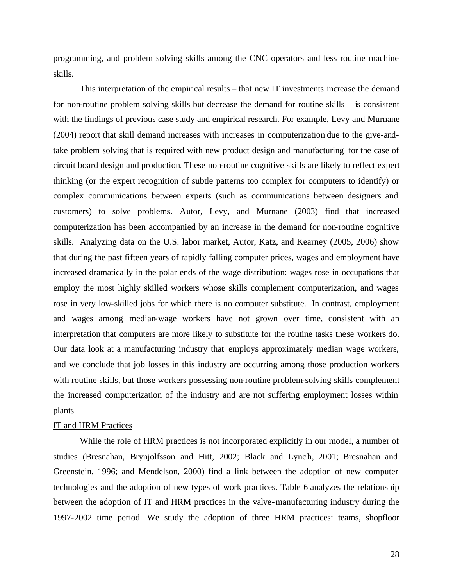programming, and problem solving skills among the CNC operators and less routine machine skills.

This interpretation of the empirical results – that new IT investments increase the demand for non-routine problem solving skills but decrease the demand for routine skills – is consistent with the findings of previous case study and empirical research. For example, Levy and Murnane (2004) report that skill demand increases with increases in computerization due to the give-andtake problem solving that is required with new product design and manufacturing for the case of circuit board design and production. These non-routine cognitive skills are likely to reflect expert thinking (or the expert recognition of subtle patterns too complex for computers to identify) or complex communications between experts (such as communications between designers and customers) to solve problems. Autor, Levy, and Murnane (2003) find that increased computerization has been accompanied by an increase in the demand for non-routine cognitive skills. Analyzing data on the U.S. labor market, Autor, Katz, and Kearney (2005, 2006) show that during the past fifteen years of rapidly falling computer prices, wages and employment have increased dramatically in the polar ends of the wage distribution: wages rose in occupations that employ the most highly skilled workers whose skills complement computerization, and wages rose in very low-skilled jobs for which there is no computer substitute. In contrast, employment and wages among median-wage workers have not grown over time, consistent with an interpretation that computers are more likely to substitute for the routine tasks these workers do. Our data look at a manufacturing industry that employs approximately median wage workers, and we conclude that job losses in this industry are occurring among those production workers with routine skills, but those workers possessing non-routine problem-solving skills complement the increased computerization of the industry and are not suffering employment losses within plants.

## IT and HRM Practices

While the role of HRM practices is not incorporated explicitly in our model, a number of studies (Bresnahan, Brynjolfsson and Hitt, 2002; Black and Lynch, 2001; Bresnahan and Greenstein, 1996; and Mendelson, 2000) find a link between the adoption of new computer technologies and the adoption of new types of work practices. Table 6 analyzes the relationship between the adoption of IT and HRM practices in the valve-manufacturing industry during the 1997-2002 time period. We study the adoption of three HRM practices: teams, shopfloor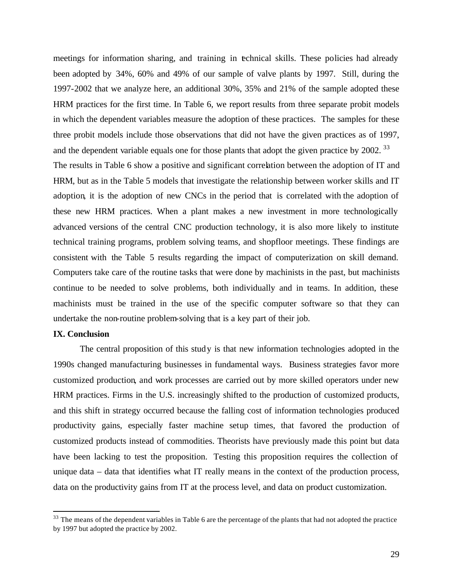meetings for information sharing, and training in technical skills. These policies had already been adopted by 34%, 60% and 49% of our sample of valve plants by 1997. Still, during the 1997-2002 that we analyze here, an additional 30%, 35% and 21% of the sample adopted these HRM practices for the first time. In Table 6, we report results from three separate probit models in which the dependent variables measure the adoption of these practices. The samples for these three probit models include those observations that did not have the given practices as of 1997, and the dependent variable equals one for those plants that adopt the given practice by 2002.<sup>33</sup>

The results in Table 6 show a positive and significant correlation between the adoption of IT and HRM, but as in the Table 5 models that investigate the relationship between worker skills and IT adoption, it is the adoption of new CNCs in the period that is correlated with the adoption of these new HRM practices. When a plant makes a new investment in more technologically advanced versions of the central CNC production technology, it is also more likely to institute technical training programs, problem solving teams, and shopfloor meetings. These findings are consistent with the Table 5 results regarding the impact of computerization on skill demand. Computers take care of the routine tasks that were done by machinists in the past, but machinists continue to be needed to solve problems, both individually and in teams. In addition, these machinists must be trained in the use of the specific computer software so that they can undertake the non-routine problem-solving that is a key part of their job.

## **IX. Conclusion**

 $\overline{a}$ 

The central proposition of this study is that new information technologies adopted in the 1990s changed manufacturing businesses in fundamental ways. Business strategies favor more customized production, and work processes are carried out by more skilled operators under new HRM practices. Firms in the U.S. increasingly shifted to the production of customized products, and this shift in strategy occurred because the falling cost of information technologies produced productivity gains, especially faster machine setup times, that favored the production of customized products instead of commodities. Theorists have previously made this point but data have been lacking to test the proposition. Testing this proposition requires the collection of unique data – data that identifies what IT really means in the context of the production process, data on the productivity gains from IT at the process level, and data on product customization.

 $33$  The means of the dependent variables in Table 6 are the percentage of the plants that had not adopted the practice by 1997 but adopted the practice by 2002.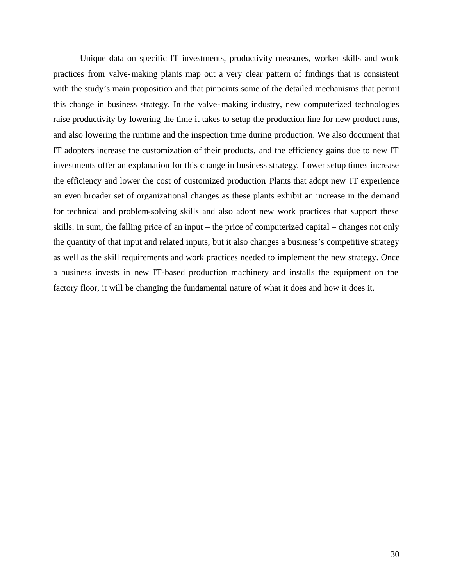Unique data on specific IT investments, productivity measures, worker skills and work practices from valve-making plants map out a very clear pattern of findings that is consistent with the study's main proposition and that pinpoints some of the detailed mechanisms that permit this change in business strategy. In the valve-making industry, new computerized technologies raise productivity by lowering the time it takes to setup the production line for new product runs, and also lowering the runtime and the inspection time during production. We also document that IT adopters increase the customization of their products, and the efficiency gains due to new IT investments offer an explanation for this change in business strategy. Lower setup times increase the efficiency and lower the cost of customized production. Plants that adopt new IT experience an even broader set of organizational changes as these plants exhibit an increase in the demand for technical and problem-solving skills and also adopt new work practices that support these skills. In sum, the falling price of an input – the price of computerized capital – changes not only the quantity of that input and related inputs, but it also changes a business's competitive strategy as well as the skill requirements and work practices needed to implement the new strategy. Once a business invests in new IT-based production machinery and installs the equipment on the factory floor, it will be changing the fundamental nature of what it does and how it does it.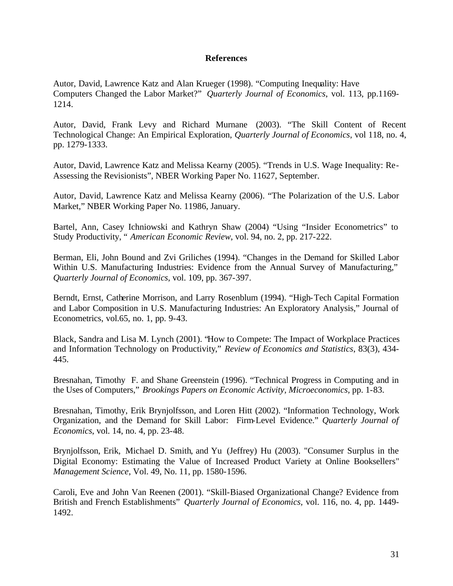## **References**

Autor, David, Lawrence Katz and Alan Krueger (1998). "Computing Inequality: Have Computers Changed the Labor Market?" *Quarterly Journal of Economics*, vol. 113, pp.1169- 1214.

Autor, David, Frank Levy and Richard Murnane (2003). "The Skill Content of Recent Technological Change: An Empirical Exploration, *Quarterly Journal of Economics*, vol 118, no. 4, pp. 1279-1333.

Autor, David, Lawrence Katz and Melissa Kearny (2005). "Trends in U.S. Wage Inequality: Re-Assessing the Revisionists", NBER Working Paper No. 11627, September.

Autor, David, Lawrence Katz and Melissa Kearny (2006). "The Polarization of the U.S. Labor Market," NBER Working Paper No. 11986, January.

Bartel, Ann, Casey Ichniowski and Kathryn Shaw (2004) "Using "Insider Econometrics" to Study Productivity, " *American Economic Review*, vol. 94, no. 2, pp. 217-222.

Berman, Eli, John Bound and Zvi Griliches (1994). "Changes in the Demand for Skilled Labor Within U.S. Manufacturing Industries: Evidence from the Annual Survey of Manufacturing," *Quarterly Journal of Economics*, vol. 109, pp. 367-397.

Berndt, Ernst, Catherine Morrison, and Larry Rosenblum (1994). "High-Tech Capital Formation and Labor Composition in U.S. Manufacturing Industries: An Exploratory Analysis," Journal of Econometrics, vol.65, no. 1, pp. 9-43.

Black, Sandra and Lisa M. Lynch (2001). "How to Compete: The Impact of Workplace Practices and Information Technology on Productivity," *Review of Economics and Statistics*, 83(3), 434- 445.

Bresnahan, Timothy F. and Shane Greenstein (1996). "Technical Progress in Computing and in the Uses of Computers," *Brookings Papers on Economic Activity, Microeconomics,* pp. 1-83.

Bresnahan, Timothy, Erik Brynjolfsson, and Loren Hitt (2002). "Information Technology, Work Organization, and the Demand for Skill Labor: Firm-Level Evidence." *Quarterly Journal of Economics*, vol. 14, no. 4, pp. 23-48.

Brynjolfsson, Erik, Michael D. Smith, and Yu (Jeffrey) Hu (2003). "Consumer Surplus in the Digital Economy: Estimating the Value of Increased Product Variety at Online Booksellers" *Management Science*, Vol. 49, No. 11, pp. 1580-1596.

Caroli, Eve and John Van Reenen (2001). "Skill-Biased Organizational Change? Evidence from British and French Establishments" *Quarterly Journal of Economics,* vol. 116, no. 4, pp. 1449- 1492.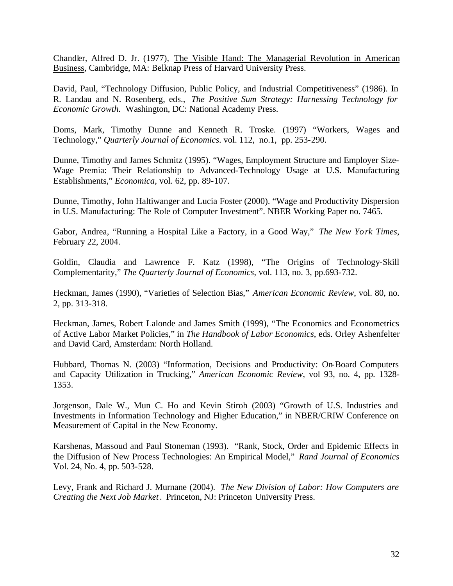Chandler, Alfred D. Jr. (1977), The Visible Hand: The Managerial Revolution in American Business, Cambridge, MA: Belknap Press of Harvard University Press.

David, Paul, "Technology Diffusion, Public Policy, and Industrial Competitiveness" (1986). In R. Landau and N. Rosenberg, eds., *The Positive Sum Strategy: Harnessing Technology for Economic Growth.* Washington, DC: National Academy Press.

Doms, Mark, Timothy Dunne and Kenneth R. Troske. (1997) "Workers, Wages and Technology," *Quarterly Journal of Economics*. vol. 112, no.1, pp. 253-290.

Dunne, Timothy and James Schmitz (1995). "Wages, Employment Structure and Employer Size-Wage Premia: Their Relationship to Advanced-Technology Usage at U.S. Manufacturing Establishments," *Economica,* vol. 62, pp. 89-107.

Dunne, Timothy, John Haltiwanger and Lucia Foster (2000). "Wage and Productivity Dispersion in U.S. Manufacturing: The Role of Computer Investment". NBER Working Paper no. 7465.

Gabor, Andrea, "Running a Hospital Like a Factory, in a Good Way," *The New York Times*, February 22, 2004.

Goldin, Claudia and Lawrence F. Katz (1998), "The Origins of Technology-Skill Complementarity," *The Quarterly Journal of Economics*, vol. 113, no. 3, pp.693-732.

Heckman, James (1990), "Varieties of Selection Bias," *American Economic Review*, vol. 80, no. 2, pp. 313-318.

Heckman, James, Robert Lalonde and James Smith (1999), "The Economics and Econometrics of Active Labor Market Policies," in *The Handbook of Labor Economics*, eds. Orley Ashenfelter and David Card, Amsterdam: North Holland.

Hubbard, Thomas N. (2003) "Information, Decisions and Productivity: On-Board Computers and Capacity Utilization in Trucking," *American Economic Review*, vol 93, no. 4, pp. 1328- 1353.

Jorgenson, Dale W., Mun C. Ho and Kevin Stiroh (2003) "Growth of U.S. Industries and Investments in Information Technology and Higher Education," in NBER/CRIW Conference on Measurement of Capital in the New Economy.

Karshenas, Massoud and Paul Stoneman (1993). "Rank, Stock, Order and Epidemic Effects in the Diffusion of New Process Technologies: An Empirical Model," *Rand Journal of Economics* Vol. 24, No. 4, pp. 503-528.

Levy, Frank and Richard J. Murnane (2004). *The New Division of Labor: How Computers are Creating the Next Job Market*. Princeton, NJ: Princeton University Press.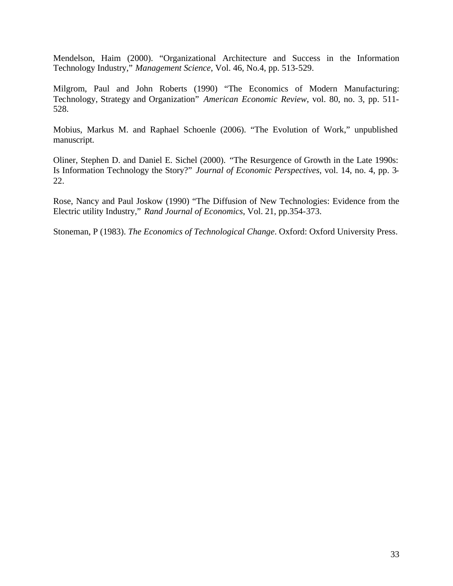Mendelson, Haim (2000). "Organizational Architecture and Success in the Information Technology Industry," *Management Science*, Vol. 46, No.4, pp. 513-529.

Milgrom, Paul and John Roberts (1990) "The Economics of Modern Manufacturing: Technology, Strategy and Organization" *American Economic Review*, vol. 80, no. 3, pp. 511- 528.

Mobius, Markus M. and Raphael Schoenle (2006). "The Evolution of Work," unpublished manuscript.

Oliner, Stephen D. and Daniel E. Sichel (2000). "The Resurgence of Growth in the Late 1990s: Is Information Technology the Story?" *Journal of Economic Perspectives*, vol. 14, no. 4, pp. 3- 22.

Rose, Nancy and Paul Joskow (1990) "The Diffusion of New Technologies: Evidence from the Electric utility Industry," *Rand Journal of Economics*, Vol. 21, pp.354-373.

Stoneman, P (1983). *The Economics of Technological Change*. Oxford: Oxford University Press.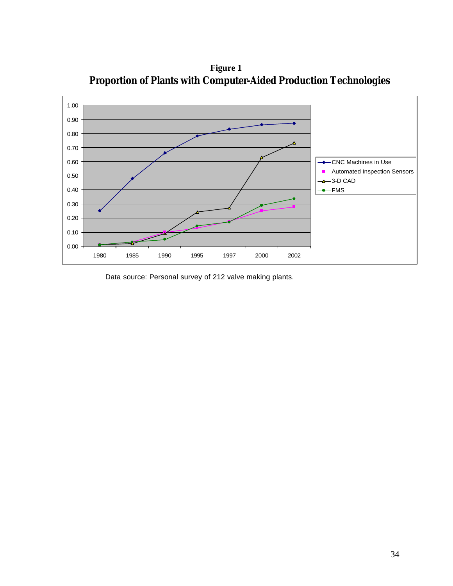

**Figure 1 Proportion of Plants with Computer-Aided Production Technologies**

Data source: Personal survey of 212 valve making plants.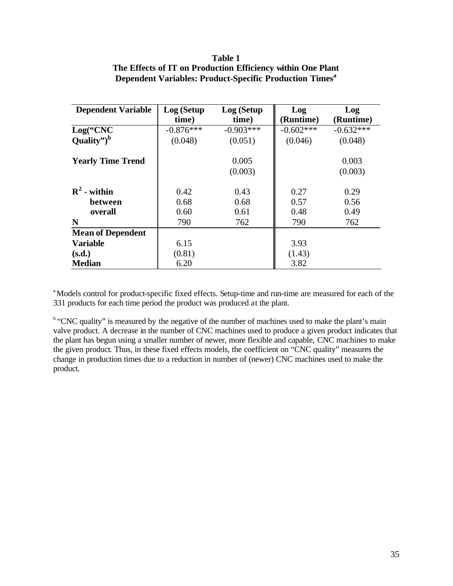| <b>Dependent Variable</b> | Log (Setup  | Log (Setup  | Log         | Log         |  |
|---------------------------|-------------|-------------|-------------|-------------|--|
|                           | time)       | time)       | (Runtime)   | (Runtime)   |  |
| Log("CNC                  | $-0.876***$ | $-0.903***$ | $-0.602***$ | $-0.632***$ |  |
| Quality") $^{\rm b}$      | (0.048)     | (0.051)     | (0.046)     | (0.048)     |  |
| <b>Yearly Time Trend</b>  |             | 0.005       |             | 0.003       |  |
|                           |             | (0.003)     |             | (0.003)     |  |
| $R^2$ - within            | 0.42        | 0.43        | 0.27        | 0.29        |  |
| between                   | 0.68        | 0.68        | 0.57        | 0.56        |  |
| overall                   | 0.60        | 0.61        | 0.48        | 0.49        |  |
| N                         | 790         | 762         | 790         | 762         |  |
| <b>Mean of Dependent</b>  |             |             |             |             |  |
| <b>Variable</b>           | 6.15        |             | 3.93        |             |  |
| (s.d.)                    | (0.81)      |             | (1.43)      |             |  |
| <b>Median</b>             | 6.20        |             | 3.82        |             |  |

# **Table 1 The Effects of IT on Production Efficiency within One Plant Dependent Variables: Product-Specific Production Times<sup>a</sup>**

<sup>a</sup>Models control for product-specific fixed effects. Setup-time and run-time are measured for each of the 331 products for each time period the product was produced at the plant.

<sup>b</sup> "CNC quality" is measured by the negative of the number of machines used to make the plant's main valve product. A decrease in the number of CNC machines used to produce a given product indicates that the plant has begun using a smaller number of newer, more flexible and capable, CNC machines to make the given product. Thus, in these fixed effects models, the coefficient on "CNC quality" measures the change in production times due to a reduction in number of (newer) CNC machines used to make the product.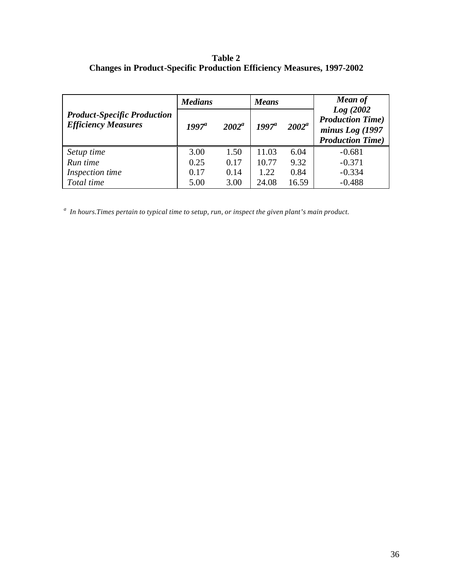# **Table 2 Changes in Product-Specific Production Efficiency Measures, 1997-2002**

|                                    | <b>Medians</b> |          | <b>Means</b> |          | <b>Mean of</b>                              |  |
|------------------------------------|----------------|----------|--------------|----------|---------------------------------------------|--|
| <b>Product-Specific Production</b> |                | $2002^a$ |              | $2002^a$ | Log(2002)<br><b>Production Time</b> )       |  |
| <b>Efficiency Measures</b>         | $1997^a$       |          | $1997^a$     |          | minus Log (1997<br><b>Production Time</b> ) |  |
| Setup time                         | 3.00           | 1.50     | 11.03        | 6.04     | $-0.681$                                    |  |
| Run time                           | 0.25           | 0.17     | 10.77        | 9.32     | $-0.371$                                    |  |
| Inspection time                    | 0.17           | 0.14     | 1.22         | 0.84     | $-0.334$                                    |  |
| Total time                         | 5.00           | 3.00     | 24.08        | 16.59    | $-0.488$                                    |  |

*a In hours.Times pertain to typical time to setup, run, or inspect the given plant's main product.*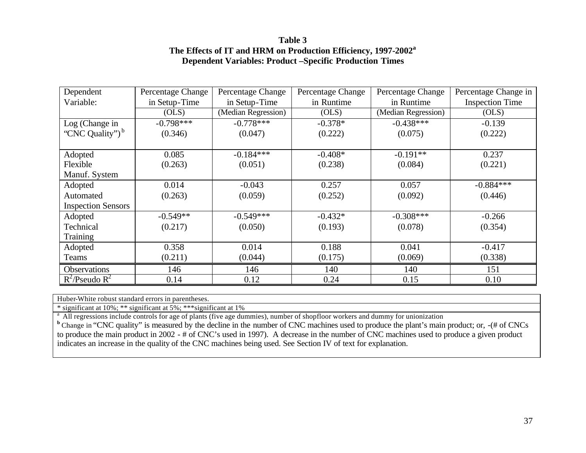# **Table 3 The Effects of IT and HRM on Production Efficiency, 1997-2002<sup>a</sup> Dependent Variables: Product –Specific Production Times**

| Dependent                   | Percentage Change | Percentage Change   | Percentage Change | Percentage Change   | Percentage Change in   |
|-----------------------------|-------------------|---------------------|-------------------|---------------------|------------------------|
| Variable:                   | in Setup-Time     | in Setup-Time       | in Runtime        | in Runtime          | <b>Inspection Time</b> |
|                             | (OLS)             | (Median Regression) | (OLS)             | (Median Regression) | (OLS)                  |
| Log (Change in              | $-0.798***$       | $-0.778***$         | $-0.378*$         | $-0.438***$         | $-0.139$               |
| "CNC Quality") <sup>b</sup> | (0.346)           | (0.047)             | (0.222)           | (0.075)             | (0.222)                |
|                             |                   |                     |                   |                     |                        |
| Adopted                     | 0.085             | $-0.184***$         | $-0.408*$         | $-0.191**$          | 0.237                  |
| Flexible                    | (0.263)           | (0.051)             | (0.238)           | (0.084)             | (0.221)                |
| Manuf. System               |                   |                     |                   |                     |                        |
| Adopted                     | 0.014             | $-0.043$            | 0.257             | 0.057               | $-0.884***$            |
| Automated                   | (0.263)           | (0.059)             | (0.252)           | (0.092)             | (0.446)                |
| <b>Inspection Sensors</b>   |                   |                     |                   |                     |                        |
| Adopted                     | $-0.549**$        | $-0.549***$         | $-0.432*$         | $-0.308***$         | $-0.266$               |
| Technical                   | (0.217)           | (0.050)             | (0.193)           | (0.078)             | (0.354)                |
| <b>Training</b>             |                   |                     |                   |                     |                        |
| Adopted                     | 0.358             | 0.014               | 0.188             | 0.041               | $-0.417$               |
| Teams                       | (0.211)           | (0.044)             | (0.175)           | (0.069)             | (0.338)                |
| Observations                | 146               | 146                 | 140               | 140                 | 151                    |
| $R^2$ /Pseudo $R^2$         | 0.14              | 0.12                | 0.24              | 0.15                | 0.10                   |

Huber-White robust standard errors in parentheses.

\* significant at 10%; \*\* significant at 5%; \*\*\*significant at 1%

<sup>a</sup> All regressions include controls for age of plants (five age dummies), number of shopfloor workers and dummy for unionization

**b** Change in "CNC quality" is measured by the decline in the number of CNC machines used to produce the plant's main product; or, -(# of CNCs to produce the main product in 2002 - # of CNC's used in 1997). A decrease in the number of CNC machines used to produce a given product indicates an increase in the quality of the CNC machines being used. See Section IV of text for explanation.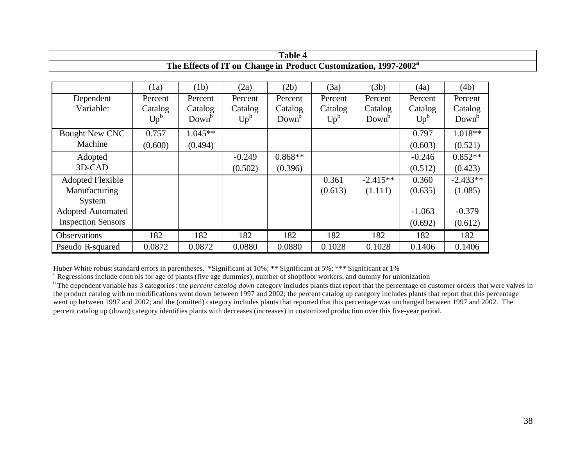| <b>Table 4</b>                                                               |         |                   |          |                   |         |                   |          |                   |  |
|------------------------------------------------------------------------------|---------|-------------------|----------|-------------------|---------|-------------------|----------|-------------------|--|
| The Effects of IT on Change in Product Customization, 1997-2002 <sup>a</sup> |         |                   |          |                   |         |                   |          |                   |  |
|                                                                              |         |                   |          |                   |         |                   |          |                   |  |
|                                                                              | (1a)    | (1b)              | (2a)     | (2b)              | (3a)    | (3b)              | (4a)     | (4b)              |  |
| Dependent                                                                    | Percent | Percent           | Percent  | Percent           | Percent | Percent           | Percent  | Percent           |  |
| Variable:                                                                    | Catalog | Catalog           | Catalog  | Catalog           | Catalog | Catalog           | Catalog  | Catalog           |  |
|                                                                              | $Up^b$  | Down <sup>b</sup> | $Up^b$   | Down <sup>b</sup> | $Up^b$  | Down <sup>b</sup> | $Up^b$   | Down <sup>p</sup> |  |
| <b>Bought New CNC</b>                                                        | 0.757   | $1.045**$         |          |                   |         |                   | 0.797    | $1.018**$         |  |
| Machine                                                                      | (0.600) | (0.494)           |          |                   |         |                   | (0.603)  | (0.521)           |  |
| Adopted                                                                      |         |                   | $-0.249$ | $0.868**$         |         |                   | $-0.246$ | $0.852**$         |  |
| 3D-CAD                                                                       |         |                   | (0.502)  | (0.396)           |         |                   | (0.512)  | (0.423)           |  |
| <b>Adopted Flexible</b>                                                      |         |                   |          |                   | 0.361   | $-2.415**$        | 0.360    | $-2.433**$        |  |
| Manufacturing                                                                |         |                   |          |                   | (0.613) | (1.111)           | (0.635)  | (1.085)           |  |
| System                                                                       |         |                   |          |                   |         |                   |          |                   |  |
| <b>Adopted Automated</b>                                                     |         |                   |          |                   |         |                   | $-1.063$ | $-0.379$          |  |
| <b>Inspection Sensors</b>                                                    |         |                   |          |                   |         |                   | (0.692)  | (0.612)           |  |
| <b>Observations</b>                                                          | 182     | 182               | 182      | 182               | 182     | 182               | 182      | 182               |  |
| Pseudo R-squared                                                             | 0.0872  | 0.0872            | 0.0880   | 0.0880            | 0.1028  | 0.1028            | 0.1406   | 0.1406            |  |

Huber-White robust standard errors in parentheses. \*Significant at 10%; \*\* Significant at 5%; \*\*\* Significant at 1%

<sup>a</sup> Regressions include controls for age of plants (five age dummies), number of shopfloor workers, and dummy for unionization

<sup>b</sup> The dependent variable has 3 categories: the *percent catalog down* category includes plants that report that the percentage of customer orders that were valves in the product catalog with no modifications went down between 1997 and 2002; the percent catalog up category includes plants that report that this percentage went up between 1997 and 2002; and the (omitted) category includes plants that reported that this percentage was unchanged between 1997 and 2002. The percent catalog up (down) category identifies plants with decreases (increases) in customized production over this five-year period.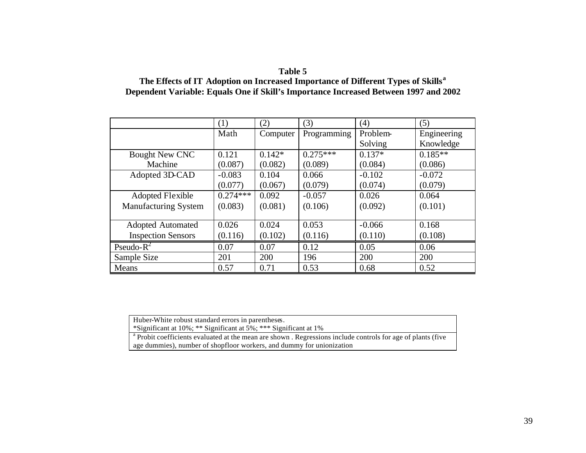# **Table 5**

# **The Effects of IT Adoption on Increased Importance of Different Types of Skills<sup>a</sup> Dependent Variable: Equals One if Skill's Importance Increased Between 1997 and 2002**

|                             | (1)        | (2)      | (3)         | (4)             | (5)         |
|-----------------------------|------------|----------|-------------|-----------------|-------------|
|                             | Math       | Computer | Programming | <b>Problem-</b> | Engineering |
|                             |            |          |             | Solving         | Knowledge   |
| <b>Bought New CNC</b>       | 0.121      | $0.142*$ | $0.275***$  | $0.137*$        | $0.185**$   |
| Machine                     | (0.087)    | (0.082)  | (0.089)     | (0.084)         | (0.086)     |
| Adopted 3D-CAD              | $-0.083$   | 0.104    | 0.066       | $-0.102$        | $-0.072$    |
|                             | (0.077)    | (0.067)  | (0.079)     | (0.074)         | (0.079)     |
| <b>Adopted Flexible</b>     | $0.274***$ | 0.092    | $-0.057$    | 0.026           | 0.064       |
| <b>Manufacturing System</b> | (0.083)    | (0.081)  | (0.106)     | (0.092)         | (0.101)     |
|                             |            |          |             |                 |             |
| <b>Adopted Automated</b>    | 0.026      | 0.024    | 0.053       | $-0.066$        | 0.168       |
| <b>Inspection Sensors</b>   | (0.116)    | (0.102)  | (0.116)     | (0.110)         | (0.108)     |
| Pseudo- $R^2$               | 0.07       | 0.07     | 0.12        | 0.05            | 0.06        |
| Sample Size                 | 201        | 200      | 196         | 200             | 200         |
| Means                       | 0.57       | 0.71     | 0.53        | 0.68            | 0.52        |

Huber-White robust standard errors in parentheses.

\*Significant at 10%; \*\* Significant at 5%; \*\*\* Significant at 1%

<sup>a</sup> Probit coefficients evaluated at the mean are shown . Regressions include controls for age of plants (five age dummies), number of shopfloor workers, and dummy for unionization